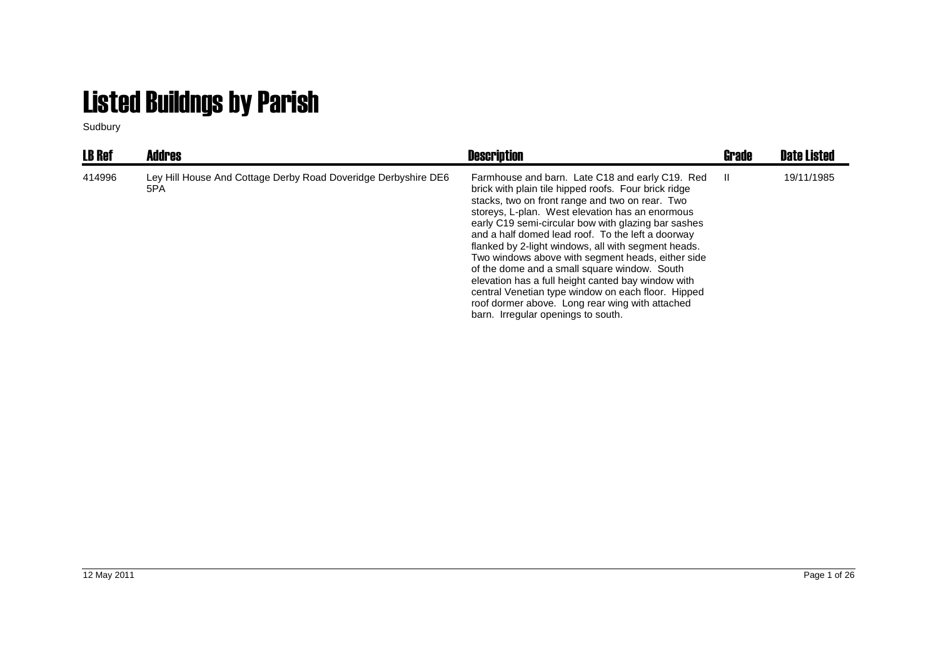## Listed Buildngs by Parish

Sudbury

| <b>LB Ref</b> | <b>Addres</b>                                                         | <b>Description</b>                                                                                                                                                                                                                                                                                                                                                                                                                                                                                                                                                                                                                                                                         | Grade | <b>Date Listed</b> |
|---------------|-----------------------------------------------------------------------|--------------------------------------------------------------------------------------------------------------------------------------------------------------------------------------------------------------------------------------------------------------------------------------------------------------------------------------------------------------------------------------------------------------------------------------------------------------------------------------------------------------------------------------------------------------------------------------------------------------------------------------------------------------------------------------------|-------|--------------------|
| 414996        | Ley Hill House And Cottage Derby Road Doveridge Derbyshire DE6<br>5PA | Farmhouse and barn. Late C18 and early C19. Red<br>brick with plain tile hipped roofs. Four brick ridge<br>stacks, two on front range and two on rear. Two<br>storeys, L-plan. West elevation has an enormous<br>early C19 semi-circular bow with glazing bar sashes<br>and a half domed lead roof. To the left a doorway<br>flanked by 2-light windows, all with segment heads.<br>Two windows above with segment heads, either side<br>of the dome and a small square window. South<br>elevation has a full height canted bay window with<br>central Venetian type window on each floor. Hipped<br>roof dormer above. Long rear wing with attached<br>barn. Irregular openings to south. | - 11  | 19/11/1985         |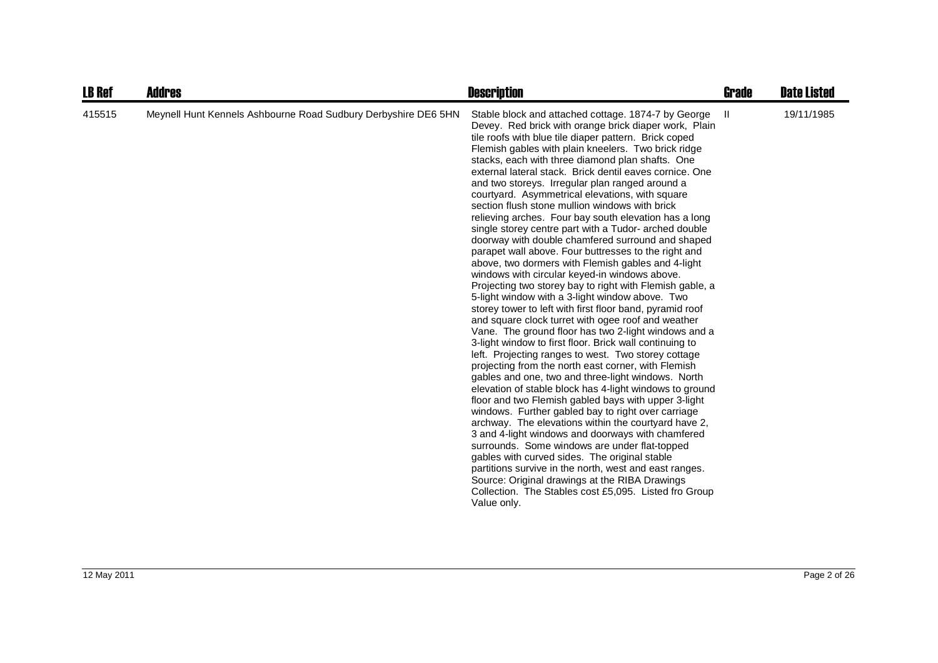| <b>LB Ref</b> | Addres                                                         | <b>Description</b>                                                                                                                                                                                                                                                                                                                                                                                                                                                                                                                                                                                                                                                                                                                                                                                                                                                                                                                                                                                                                                                                                                                                                                                                                                                                                                                                                                                                                                                                                                                                                                                                                                                                                                                                                                                                                                                                                                                            | <b>Grade</b> | <b>Date Listed</b> |
|---------------|----------------------------------------------------------------|-----------------------------------------------------------------------------------------------------------------------------------------------------------------------------------------------------------------------------------------------------------------------------------------------------------------------------------------------------------------------------------------------------------------------------------------------------------------------------------------------------------------------------------------------------------------------------------------------------------------------------------------------------------------------------------------------------------------------------------------------------------------------------------------------------------------------------------------------------------------------------------------------------------------------------------------------------------------------------------------------------------------------------------------------------------------------------------------------------------------------------------------------------------------------------------------------------------------------------------------------------------------------------------------------------------------------------------------------------------------------------------------------------------------------------------------------------------------------------------------------------------------------------------------------------------------------------------------------------------------------------------------------------------------------------------------------------------------------------------------------------------------------------------------------------------------------------------------------------------------------------------------------------------------------------------------------|--------------|--------------------|
| 415515        | Meynell Hunt Kennels Ashbourne Road Sudbury Derbyshire DE6 5HN | Stable block and attached cottage. 1874-7 by George<br>Devey. Red brick with orange brick diaper work, Plain<br>tile roofs with blue tile diaper pattern. Brick coped<br>Flemish gables with plain kneelers. Two brick ridge<br>stacks, each with three diamond plan shafts. One<br>external lateral stack. Brick dentil eaves cornice. One<br>and two storeys. Irregular plan ranged around a<br>courtyard. Asymmetrical elevations, with square<br>section flush stone mullion windows with brick<br>relieving arches. Four bay south elevation has a long<br>single storey centre part with a Tudor- arched double<br>doorway with double chamfered surround and shaped<br>parapet wall above. Four buttresses to the right and<br>above, two dormers with Flemish gables and 4-light<br>windows with circular keyed-in windows above.<br>Projecting two storey bay to right with Flemish gable, a<br>5-light window with a 3-light window above. Two<br>storey tower to left with first floor band, pyramid roof<br>and square clock turret with ogee roof and weather<br>Vane. The ground floor has two 2-light windows and a<br>3-light window to first floor. Brick wall continuing to<br>left. Projecting ranges to west. Two storey cottage<br>projecting from the north east corner, with Flemish<br>gables and one, two and three-light windows. North<br>elevation of stable block has 4-light windows to ground<br>floor and two Flemish gabled bays with upper 3-light<br>windows. Further gabled bay to right over carriage<br>archway. The elevations within the courtyard have 2.<br>3 and 4-light windows and doorways with chamfered<br>surrounds. Some windows are under flat-topped<br>gables with curved sides. The original stable<br>partitions survive in the north, west and east ranges.<br>Source: Original drawings at the RIBA Drawings<br>Collection. The Stables cost £5,095. Listed fro Group<br>Value only. | -H           | 19/11/1985         |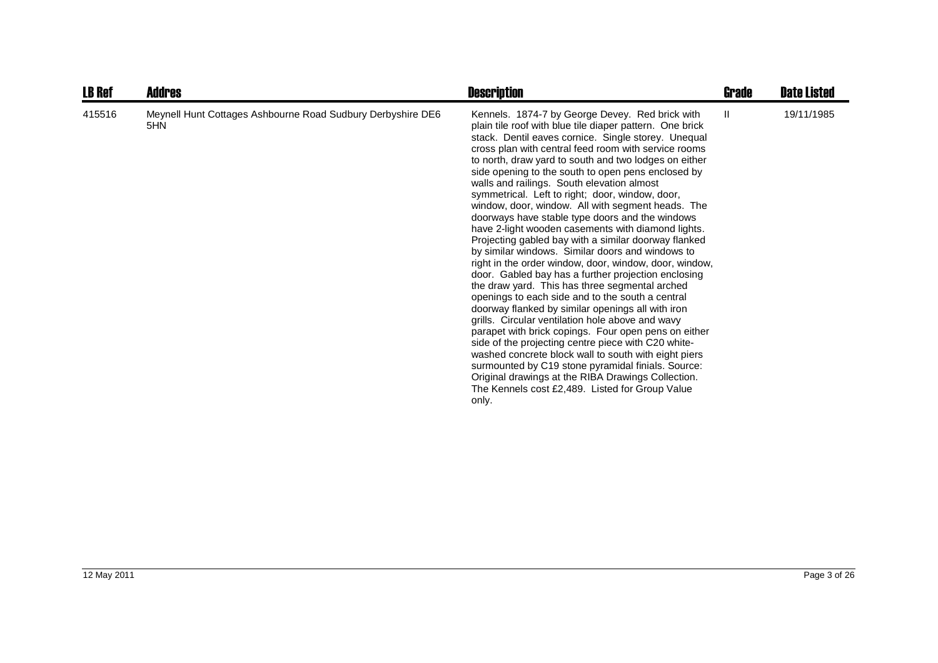| <b>LB Ref</b> | Addres                                                             | <b>Description</b>                                                                                                                                                                                                                                                                                                                                                                                                                                                                                                                                                                                                                                                                                                                                                                                                                                                                                                                                                                                                                                                                                                                                                                                                                                                                                                                                                                                  | <b>Grade</b> | <b>Date Listed</b> |
|---------------|--------------------------------------------------------------------|-----------------------------------------------------------------------------------------------------------------------------------------------------------------------------------------------------------------------------------------------------------------------------------------------------------------------------------------------------------------------------------------------------------------------------------------------------------------------------------------------------------------------------------------------------------------------------------------------------------------------------------------------------------------------------------------------------------------------------------------------------------------------------------------------------------------------------------------------------------------------------------------------------------------------------------------------------------------------------------------------------------------------------------------------------------------------------------------------------------------------------------------------------------------------------------------------------------------------------------------------------------------------------------------------------------------------------------------------------------------------------------------------------|--------------|--------------------|
| 415516        | Meynell Hunt Cottages Ashbourne Road Sudbury Derbyshire DE6<br>5HN | Kennels. 1874-7 by George Devey. Red brick with<br>plain tile roof with blue tile diaper pattern. One brick<br>stack. Dentil eaves cornice. Single storey. Unequal<br>cross plan with central feed room with service rooms<br>to north, draw yard to south and two lodges on either<br>side opening to the south to open pens enclosed by<br>walls and railings. South elevation almost<br>symmetrical. Left to right; door, window, door,<br>window, door, window. All with segment heads. The<br>doorways have stable type doors and the windows<br>have 2-light wooden casements with diamond lights.<br>Projecting gabled bay with a similar doorway flanked<br>by similar windows. Similar doors and windows to<br>right in the order window, door, window, door, window,<br>door. Gabled bay has a further projection enclosing<br>the draw yard. This has three segmental arched<br>openings to each side and to the south a central<br>doorway flanked by similar openings all with iron<br>grills. Circular ventilation hole above and wavy<br>parapet with brick copings. Four open pens on either<br>side of the projecting centre piece with C20 white-<br>washed concrete block wall to south with eight piers<br>surmounted by C19 stone pyramidal finials. Source:<br>Original drawings at the RIBA Drawings Collection.<br>The Kennels cost £2,489. Listed for Group Value<br>only. | Ш.           | 19/11/1985         |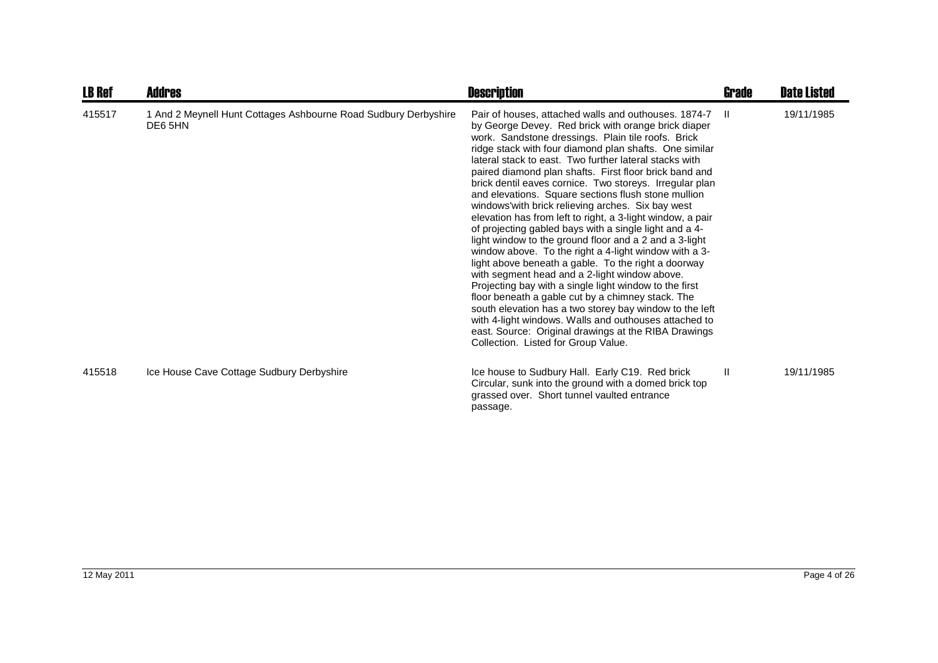| <b>LB Ref</b> | <b>Addres</b>                                                              | <b>Description</b>                                                                                                                                                                                                                                                                                                                                                                                                                                                                                                                                                                                                                                                                                                                                                                                                                                                                                                                                                                                                                                                                                                                                                                                              | <b>Grade</b> | <b>Date Listed</b> |
|---------------|----------------------------------------------------------------------------|-----------------------------------------------------------------------------------------------------------------------------------------------------------------------------------------------------------------------------------------------------------------------------------------------------------------------------------------------------------------------------------------------------------------------------------------------------------------------------------------------------------------------------------------------------------------------------------------------------------------------------------------------------------------------------------------------------------------------------------------------------------------------------------------------------------------------------------------------------------------------------------------------------------------------------------------------------------------------------------------------------------------------------------------------------------------------------------------------------------------------------------------------------------------------------------------------------------------|--------------|--------------------|
| 415517        | 1 And 2 Meynell Hunt Cottages Ashbourne Road Sudbury Derbyshire<br>DE6 5HN | Pair of houses, attached walls and outhouses. 1874-7 II<br>by George Devey. Red brick with orange brick diaper<br>work. Sandstone dressings. Plain tile roofs. Brick<br>ridge stack with four diamond plan shafts. One similar<br>lateral stack to east. Two further lateral stacks with<br>paired diamond plan shafts. First floor brick band and<br>brick dentil eaves cornice. Two storeys. Irregular plan<br>and elevations. Square sections flush stone mullion<br>windows' with brick relieving arches. Six bay west<br>elevation has from left to right, a 3-light window, a pair<br>of projecting gabled bays with a single light and a 4-<br>light window to the ground floor and a 2 and a 3-light<br>window above. To the right a 4-light window with a 3-<br>light above beneath a gable. To the right a doorway<br>with segment head and a 2-light window above.<br>Projecting bay with a single light window to the first<br>floor beneath a gable cut by a chimney stack. The<br>south elevation has a two storey bay window to the left<br>with 4-light windows. Walls and outhouses attached to<br>east. Source: Original drawings at the RIBA Drawings<br>Collection. Listed for Group Value. |              | 19/11/1985         |
| 415518        | Ice House Cave Cottage Sudbury Derbyshire                                  | Ice house to Sudbury Hall. Early C19. Red brick<br>Circular, sunk into the ground with a domed brick top<br>grassed over. Short tunnel vaulted entrance<br>passage.                                                                                                                                                                                                                                                                                                                                                                                                                                                                                                                                                                                                                                                                                                                                                                                                                                                                                                                                                                                                                                             | $\mathbf{H}$ | 19/11/1985         |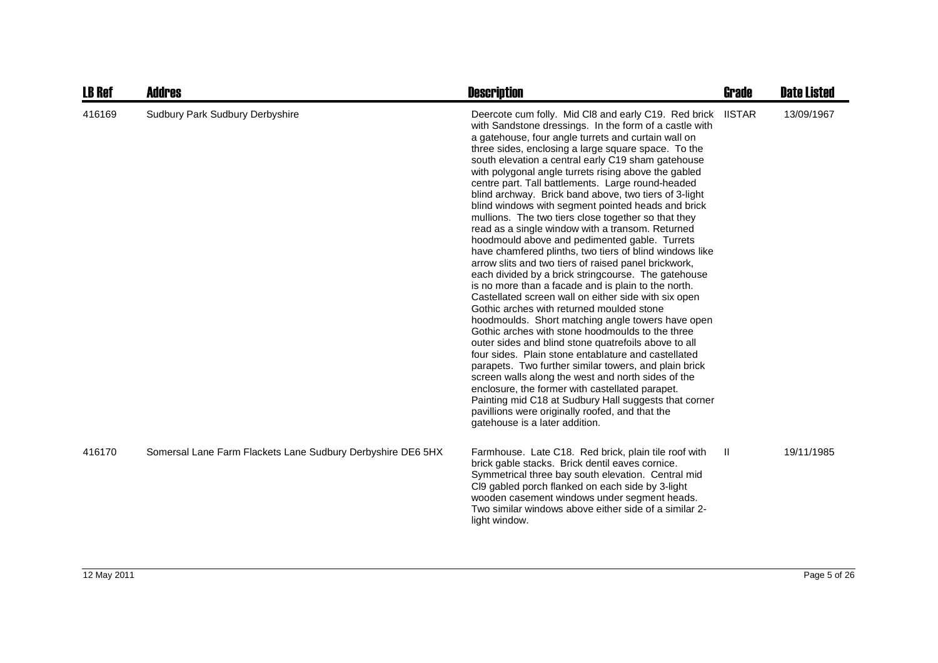| LB Ref | Addres                                                      | <b>Description</b>                                                                                                                                                                                                                                                                                                                                                                                                                                                                                                                                                                                                                                                                                                                                                                                                                                                                                                                                                                                                                                                                                                                                                                                                                                                                                                                                                                                                                                                                                                                                       | Grade         | <b>Date Listed</b> |
|--------|-------------------------------------------------------------|----------------------------------------------------------------------------------------------------------------------------------------------------------------------------------------------------------------------------------------------------------------------------------------------------------------------------------------------------------------------------------------------------------------------------------------------------------------------------------------------------------------------------------------------------------------------------------------------------------------------------------------------------------------------------------------------------------------------------------------------------------------------------------------------------------------------------------------------------------------------------------------------------------------------------------------------------------------------------------------------------------------------------------------------------------------------------------------------------------------------------------------------------------------------------------------------------------------------------------------------------------------------------------------------------------------------------------------------------------------------------------------------------------------------------------------------------------------------------------------------------------------------------------------------------------|---------------|--------------------|
| 416169 | Sudbury Park Sudbury Derbyshire                             | Deercote cum folly. Mid CI8 and early C19. Red brick<br>with Sandstone dressings. In the form of a castle with<br>a gatehouse, four angle turrets and curtain wall on<br>three sides, enclosing a large square space. To the<br>south elevation a central early C19 sham gatehouse<br>with polygonal angle turrets rising above the gabled<br>centre part. Tall battlements. Large round-headed<br>blind archway. Brick band above, two tiers of 3-light<br>blind windows with segment pointed heads and brick<br>mullions. The two tiers close together so that they<br>read as a single window with a transom. Returned<br>hoodmould above and pedimented gable. Turrets<br>have chamfered plinths, two tiers of blind windows like<br>arrow slits and two tiers of raised panel brickwork,<br>each divided by a brick stringcourse. The gatehouse<br>is no more than a facade and is plain to the north.<br>Castellated screen wall on either side with six open<br>Gothic arches with returned moulded stone<br>hoodmoulds. Short matching angle towers have open<br>Gothic arches with stone hoodmoulds to the three<br>outer sides and blind stone quatrefoils above to all<br>four sides. Plain stone entablature and castellated<br>parapets. Two further similar towers, and plain brick<br>screen walls along the west and north sides of the<br>enclosure, the former with castellated parapet.<br>Painting mid C18 at Sudbury Hall suggests that corner<br>pavillions were originally roofed, and that the<br>gatehouse is a later addition. | <b>IISTAR</b> | 13/09/1967         |
| 416170 | Somersal Lane Farm Flackets Lane Sudbury Derbyshire DE6 5HX | Farmhouse. Late C18. Red brick, plain tile roof with<br>brick gable stacks. Brick dentil eaves cornice.<br>Symmetrical three bay south elevation. Central mid<br>CI9 gabled porch flanked on each side by 3-light<br>wooden casement windows under segment heads.<br>Two similar windows above either side of a similar 2-<br>light window.                                                                                                                                                                                                                                                                                                                                                                                                                                                                                                                                                                                                                                                                                                                                                                                                                                                                                                                                                                                                                                                                                                                                                                                                              | Ш.            | 19/11/1985         |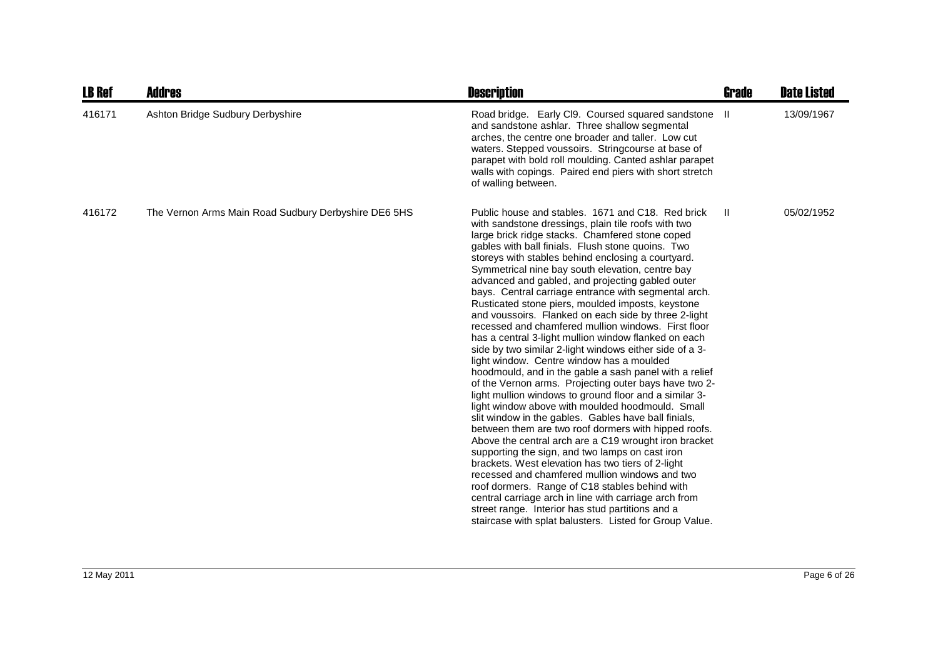| <b>LB Ref</b> | <b>Addres</b>                                        | <b>Description</b>                                                                                                                                                                                                                                                                                                                                                                                                                                                                                                                                                                                                                                                                                                                                                                                                                                                                                                                                                                                                                                                                                                                                                                                                                                                                                                                                                                                                                                                                                                                                                       | Grade | <b>Date Listed</b> |
|---------------|------------------------------------------------------|--------------------------------------------------------------------------------------------------------------------------------------------------------------------------------------------------------------------------------------------------------------------------------------------------------------------------------------------------------------------------------------------------------------------------------------------------------------------------------------------------------------------------------------------------------------------------------------------------------------------------------------------------------------------------------------------------------------------------------------------------------------------------------------------------------------------------------------------------------------------------------------------------------------------------------------------------------------------------------------------------------------------------------------------------------------------------------------------------------------------------------------------------------------------------------------------------------------------------------------------------------------------------------------------------------------------------------------------------------------------------------------------------------------------------------------------------------------------------------------------------------------------------------------------------------------------------|-------|--------------------|
| 416171        | Ashton Bridge Sudbury Derbyshire                     | Road bridge. Early CI9. Coursed squared sandstone II<br>and sandstone ashlar. Three shallow segmental<br>arches, the centre one broader and taller. Low cut<br>waters. Stepped voussoirs. Stringcourse at base of<br>parapet with bold roll moulding. Canted ashlar parapet<br>walls with copings. Paired end piers with short stretch<br>of walling between.                                                                                                                                                                                                                                                                                                                                                                                                                                                                                                                                                                                                                                                                                                                                                                                                                                                                                                                                                                                                                                                                                                                                                                                                            |       | 13/09/1967         |
| 416172        | The Vernon Arms Main Road Sudbury Derbyshire DE6 5HS | Public house and stables. 1671 and C18. Red brick<br>with sandstone dressings, plain tile roofs with two<br>large brick ridge stacks. Chamfered stone coped<br>gables with ball finials. Flush stone quoins. Two<br>storeys with stables behind enclosing a courtyard.<br>Symmetrical nine bay south elevation, centre bay<br>advanced and gabled, and projecting gabled outer<br>bays. Central carriage entrance with segmental arch.<br>Rusticated stone piers, moulded imposts, keystone<br>and voussoirs. Flanked on each side by three 2-light<br>recessed and chamfered mullion windows. First floor<br>has a central 3-light mullion window flanked on each<br>side by two similar 2-light windows either side of a 3-<br>light window. Centre window has a moulded<br>hoodmould, and in the gable a sash panel with a relief<br>of the Vernon arms. Projecting outer bays have two 2-<br>light mullion windows to ground floor and a similar 3-<br>light window above with moulded hoodmould. Small<br>slit window in the gables. Gables have ball finials,<br>between them are two roof dormers with hipped roofs.<br>Above the central arch are a C19 wrought iron bracket<br>supporting the sign, and two lamps on cast iron<br>brackets. West elevation has two tiers of 2-light<br>recessed and chamfered mullion windows and two<br>roof dormers. Range of C18 stables behind with<br>central carriage arch in line with carriage arch from<br>street range. Interior has stud partitions and a<br>staircase with splat balusters. Listed for Group Value. | H.    | 05/02/1952         |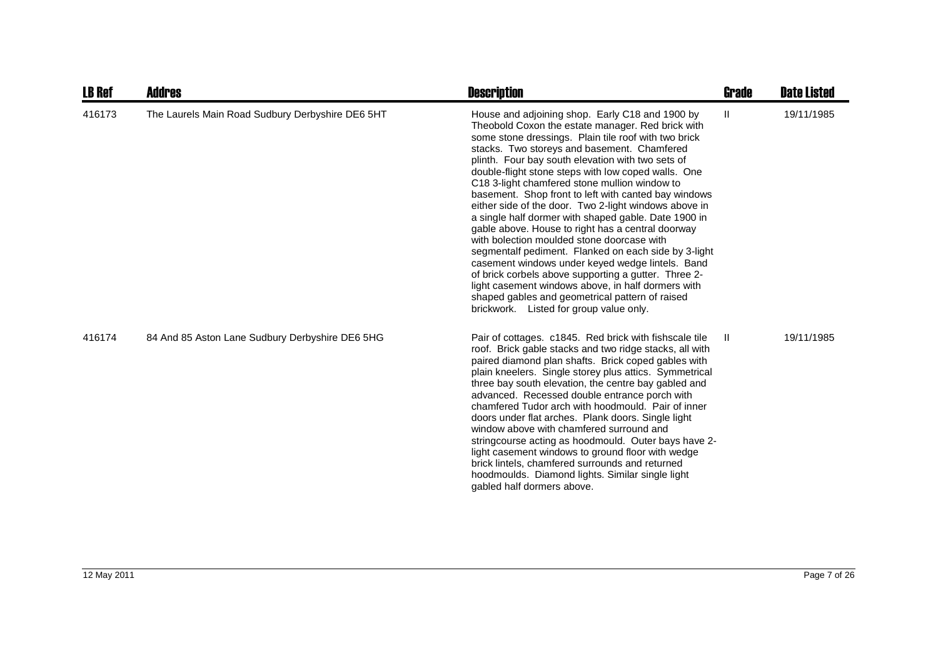| <b>LB Ref</b> | <b>Addres</b>                                    | <b>Description</b>                                                                                                                                                                                                                                                                                                                                                                                                                                                                                                                                                                                                                                                                                                                                                                                                                                                                                                                                                           | <b>Grade</b> | <b>Date Listed</b> |
|---------------|--------------------------------------------------|------------------------------------------------------------------------------------------------------------------------------------------------------------------------------------------------------------------------------------------------------------------------------------------------------------------------------------------------------------------------------------------------------------------------------------------------------------------------------------------------------------------------------------------------------------------------------------------------------------------------------------------------------------------------------------------------------------------------------------------------------------------------------------------------------------------------------------------------------------------------------------------------------------------------------------------------------------------------------|--------------|--------------------|
| 416173        | The Laurels Main Road Sudbury Derbyshire DE6 5HT | House and adjoining shop. Early C18 and 1900 by<br>Theobold Coxon the estate manager. Red brick with<br>some stone dressings. Plain tile roof with two brick<br>stacks. Two storeys and basement. Chamfered<br>plinth. Four bay south elevation with two sets of<br>double-flight stone steps with low coped walls. One<br>C18 3-light chamfered stone mullion window to<br>basement. Shop front to left with canted bay windows<br>either side of the door. Two 2-light windows above in<br>a single half dormer with shaped gable. Date 1900 in<br>gable above. House to right has a central doorway<br>with bolection moulded stone doorcase with<br>segmentalf pediment. Flanked on each side by 3-light<br>casement windows under keyed wedge lintels. Band<br>of brick corbels above supporting a gutter. Three 2-<br>light casement windows above, in half dormers with<br>shaped gables and geometrical pattern of raised<br>brickwork. Listed for group value only. | Ш.           | 19/11/1985         |
| 416174        | 84 And 85 Aston Lane Sudbury Derbyshire DE6 5HG  | Pair of cottages. c1845. Red brick with fishscale tile<br>roof. Brick gable stacks and two ridge stacks, all with<br>paired diamond plan shafts. Brick coped gables with<br>plain kneelers. Single storey plus attics. Symmetrical<br>three bay south elevation, the centre bay gabled and<br>advanced. Recessed double entrance porch with<br>chamfered Tudor arch with hoodmould. Pair of inner<br>doors under flat arches. Plank doors. Single light<br>window above with chamfered surround and<br>stringcourse acting as hoodmould. Outer bays have 2-<br>light casement windows to ground floor with wedge<br>brick lintels, chamfered surrounds and returned<br>hoodmoulds. Diamond lights. Similar single light<br>gabled half dormers above.                                                                                                                                                                                                                        | -II.         | 19/11/1985         |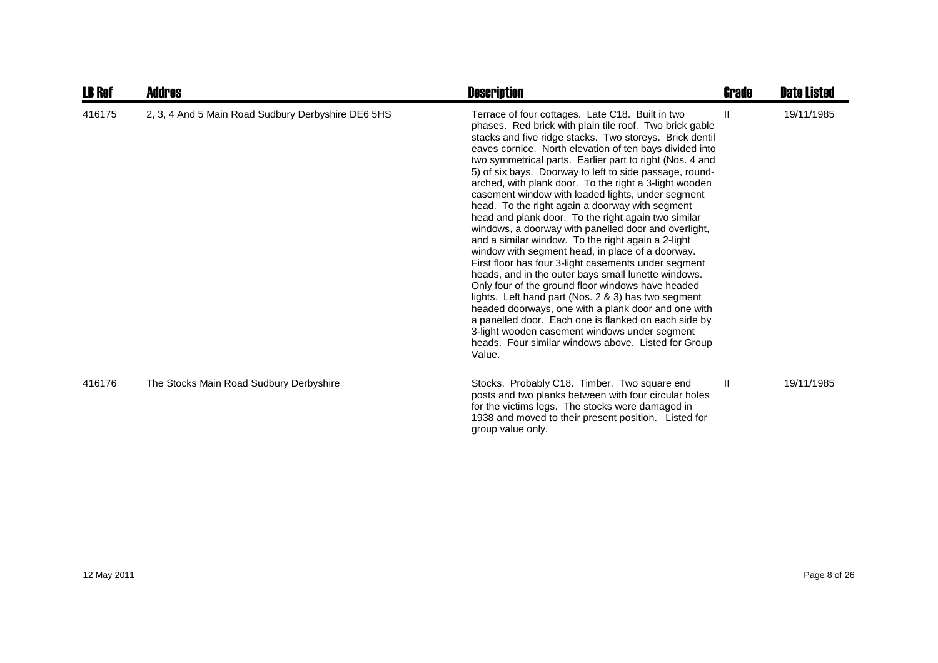| <b>LB Ref</b> | Addres                                             | <b>Description</b>                                                                                                                                                                                                                                                                                                                                                                                                                                                                                                                                                                                                                                                                                                                                                                                                                                                                                                                                                                                                                                                                                                                                                                                              | Grade        | <b>Date Listed</b> |
|---------------|----------------------------------------------------|-----------------------------------------------------------------------------------------------------------------------------------------------------------------------------------------------------------------------------------------------------------------------------------------------------------------------------------------------------------------------------------------------------------------------------------------------------------------------------------------------------------------------------------------------------------------------------------------------------------------------------------------------------------------------------------------------------------------------------------------------------------------------------------------------------------------------------------------------------------------------------------------------------------------------------------------------------------------------------------------------------------------------------------------------------------------------------------------------------------------------------------------------------------------------------------------------------------------|--------------|--------------------|
| 416175        | 2, 3, 4 And 5 Main Road Sudbury Derbyshire DE6 5HS | Terrace of four cottages. Late C18. Built in two<br>phases. Red brick with plain tile roof. Two brick gable<br>stacks and five ridge stacks. Two storeys. Brick dentil<br>eaves cornice. North elevation of ten bays divided into<br>two symmetrical parts. Earlier part to right (Nos. 4 and<br>5) of six bays. Doorway to left to side passage, round-<br>arched, with plank door. To the right a 3-light wooden<br>casement window with leaded lights, under segment<br>head. To the right again a doorway with segment<br>head and plank door. To the right again two similar<br>windows, a doorway with panelled door and overlight,<br>and a similar window. To the right again a 2-light<br>window with segment head, in place of a doorway.<br>First floor has four 3-light casements under segment<br>heads, and in the outer bays small lunette windows.<br>Only four of the ground floor windows have headed<br>lights. Left hand part (Nos. 2 & 3) has two segment<br>headed doorways, one with a plank door and one with<br>a panelled door. Each one is flanked on each side by<br>3-light wooden casement windows under segment<br>heads. Four similar windows above. Listed for Group<br>Value. | Ш            | 19/11/1985         |
| 416176        | The Stocks Main Road Sudbury Derbyshire            | Stocks. Probably C18. Timber. Two square end<br>posts and two planks between with four circular holes<br>for the victims legs. The stocks were damaged in<br>1938 and moved to their present position. Listed for<br>group value only.                                                                                                                                                                                                                                                                                                                                                                                                                                                                                                                                                                                                                                                                                                                                                                                                                                                                                                                                                                          | $\mathbf{H}$ | 19/11/1985         |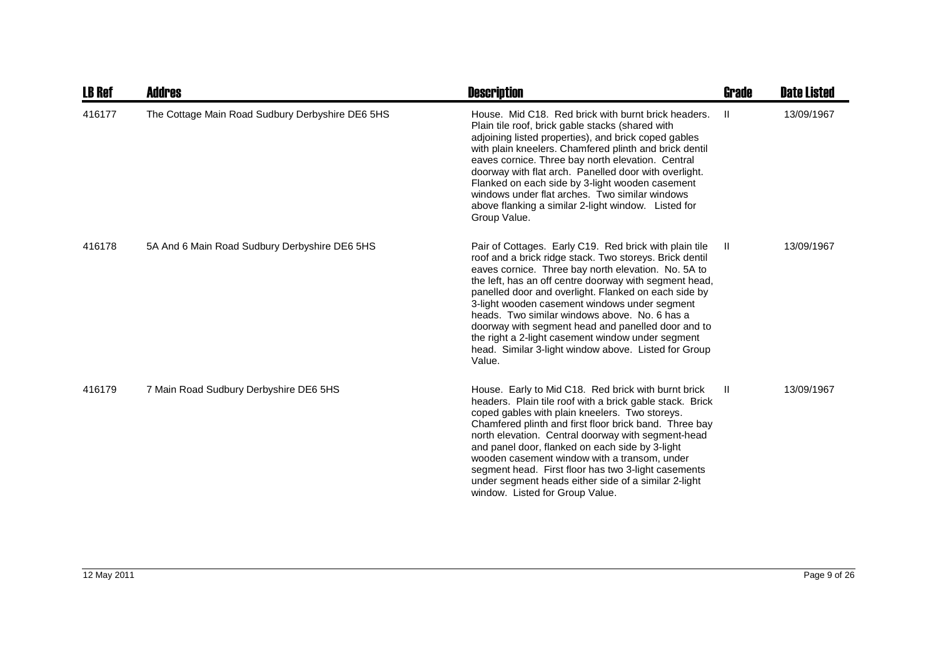| <b>LB Ref</b> | Addres                                           | <b>Description</b>                                                                                                                                                                                                                                                                                                                                                                                                                                                                                                                                                        | <b>Grade</b> | <b>Date Listed</b> |
|---------------|--------------------------------------------------|---------------------------------------------------------------------------------------------------------------------------------------------------------------------------------------------------------------------------------------------------------------------------------------------------------------------------------------------------------------------------------------------------------------------------------------------------------------------------------------------------------------------------------------------------------------------------|--------------|--------------------|
| 416177        | The Cottage Main Road Sudbury Derbyshire DE6 5HS | House. Mid C18. Red brick with burnt brick headers.<br>Plain tile roof, brick gable stacks (shared with<br>adjoining listed properties), and brick coped gables<br>with plain kneelers. Chamfered plinth and brick dentil<br>eaves cornice. Three bay north elevation. Central<br>doorway with flat arch. Panelled door with overlight.<br>Flanked on each side by 3-light wooden casement<br>windows under flat arches. Two similar windows<br>above flanking a similar 2-light window. Listed for<br>Group Value.                                                       | -H           | 13/09/1967         |
| 416178        | 5A And 6 Main Road Sudbury Derbyshire DE6 5HS    | Pair of Cottages. Early C19. Red brick with plain tile<br>roof and a brick ridge stack. Two storeys. Brick dentil<br>eaves cornice. Three bay north elevation. No. 5A to<br>the left, has an off centre doorway with segment head,<br>panelled door and overlight. Flanked on each side by<br>3-light wooden casement windows under segment<br>heads. Two similar windows above. No. 6 has a<br>doorway with segment head and panelled door and to<br>the right a 2-light casement window under segment<br>head. Similar 3-light window above. Listed for Group<br>Value. | H.           | 13/09/1967         |
| 416179        | 7 Main Road Sudbury Derbyshire DE6 5HS           | House. Early to Mid C18. Red brick with burnt brick<br>headers. Plain tile roof with a brick gable stack. Brick<br>coped gables with plain kneelers. Two storeys.<br>Chamfered plinth and first floor brick band. Three bay<br>north elevation. Central doorway with segment-head<br>and panel door, flanked on each side by 3-light<br>wooden casement window with a transom, under<br>segment head. First floor has two 3-light casements<br>under segment heads either side of a similar 2-light<br>window. Listed for Group Value.                                    | H            | 13/09/1967         |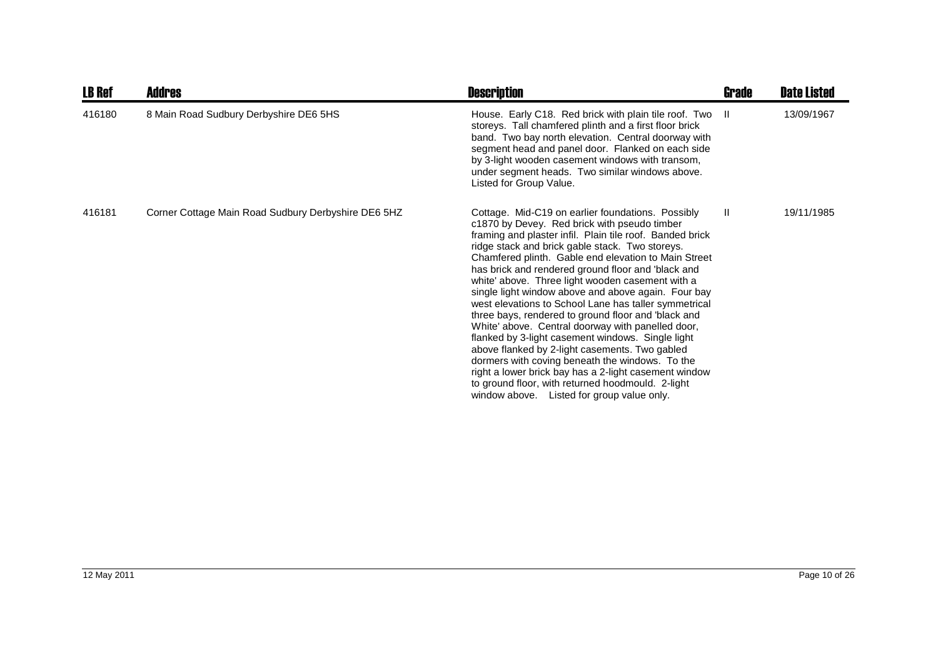| <b>LB Ref</b> | Addres                                              | <b>Description</b>                                                                                                                                                                                                                                                                                                                                                                                                                                                                                                                                                                                                                                                                                                                                                                                                                                                                                                                   | Grade        | <b>Date Listed</b> |
|---------------|-----------------------------------------------------|--------------------------------------------------------------------------------------------------------------------------------------------------------------------------------------------------------------------------------------------------------------------------------------------------------------------------------------------------------------------------------------------------------------------------------------------------------------------------------------------------------------------------------------------------------------------------------------------------------------------------------------------------------------------------------------------------------------------------------------------------------------------------------------------------------------------------------------------------------------------------------------------------------------------------------------|--------------|--------------------|
| 416180        | 8 Main Road Sudbury Derbyshire DE6 5HS              | House. Early C18. Red brick with plain tile roof. Two II<br>storeys. Tall chamfered plinth and a first floor brick<br>band. Two bay north elevation. Central doorway with<br>segment head and panel door. Flanked on each side<br>by 3-light wooden casement windows with transom,<br>under segment heads. Two similar windows above.<br>Listed for Group Value.                                                                                                                                                                                                                                                                                                                                                                                                                                                                                                                                                                     |              | 13/09/1967         |
| 416181        | Corner Cottage Main Road Sudbury Derbyshire DE6 5HZ | Cottage. Mid-C19 on earlier foundations. Possibly<br>c1870 by Devey. Red brick with pseudo timber<br>framing and plaster infil. Plain tile roof. Banded brick<br>ridge stack and brick gable stack. Two storeys.<br>Chamfered plinth. Gable end elevation to Main Street<br>has brick and rendered ground floor and 'black and<br>white' above. Three light wooden casement with a<br>single light window above and above again. Four bay<br>west elevations to School Lane has taller symmetrical<br>three bays, rendered to ground floor and 'black and<br>White' above. Central doorway with panelled door,<br>flanked by 3-light casement windows. Single light<br>above flanked by 2-light casements. Two gabled<br>dormers with coving beneath the windows. To the<br>right a lower brick bay has a 2-light casement window<br>to ground floor, with returned hoodmould. 2-light<br>window above. Listed for group value only. | $\mathbf{H}$ | 19/11/1985         |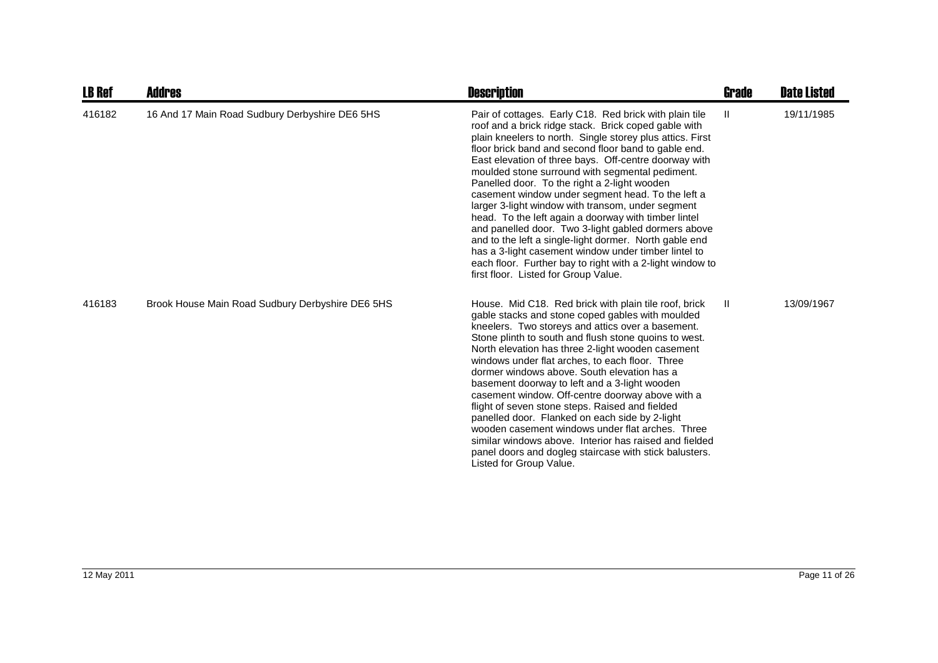| <b>LB Ref</b> | Addres                                           | <b>Description</b>                                                                                                                                                                                                                                                                                                                                                                                                                                                                                                                                                                                                                                                                                                                                                                                                                              | Grade | <b>Date Listed</b> |
|---------------|--------------------------------------------------|-------------------------------------------------------------------------------------------------------------------------------------------------------------------------------------------------------------------------------------------------------------------------------------------------------------------------------------------------------------------------------------------------------------------------------------------------------------------------------------------------------------------------------------------------------------------------------------------------------------------------------------------------------------------------------------------------------------------------------------------------------------------------------------------------------------------------------------------------|-------|--------------------|
| 416182        | 16 And 17 Main Road Sudbury Derbyshire DE6 5HS   | Pair of cottages. Early C18. Red brick with plain tile<br>roof and a brick ridge stack. Brick coped gable with<br>plain kneelers to north. Single storey plus attics. First<br>floor brick band and second floor band to gable end.<br>East elevation of three bays. Off-centre doorway with<br>moulded stone surround with segmental pediment.<br>Panelled door. To the right a 2-light wooden<br>casement window under segment head. To the left a<br>larger 3-light window with transom, under segment<br>head. To the left again a doorway with timber lintel<br>and panelled door. Two 3-light gabled dormers above<br>and to the left a single-light dormer. North gable end<br>has a 3-light casement window under timber lintel to<br>each floor. Further bay to right with a 2-light window to<br>first floor. Listed for Group Value. | Ш     | 19/11/1985         |
| 416183        | Brook House Main Road Sudbury Derbyshire DE6 5HS | House. Mid C18. Red brick with plain tile roof, brick<br>gable stacks and stone coped gables with moulded<br>kneelers. Two storeys and attics over a basement.<br>Stone plinth to south and flush stone quoins to west.<br>North elevation has three 2-light wooden casement<br>windows under flat arches, to each floor. Three<br>dormer windows above. South elevation has a<br>basement doorway to left and a 3-light wooden<br>casement window. Off-centre doorway above with a<br>flight of seven stone steps. Raised and fielded<br>panelled door. Flanked on each side by 2-light<br>wooden casement windows under flat arches. Three<br>similar windows above. Interior has raised and fielded<br>panel doors and dogleg staircase with stick balusters.<br>Listed for Group Value.                                                     | H.    | 13/09/1967         |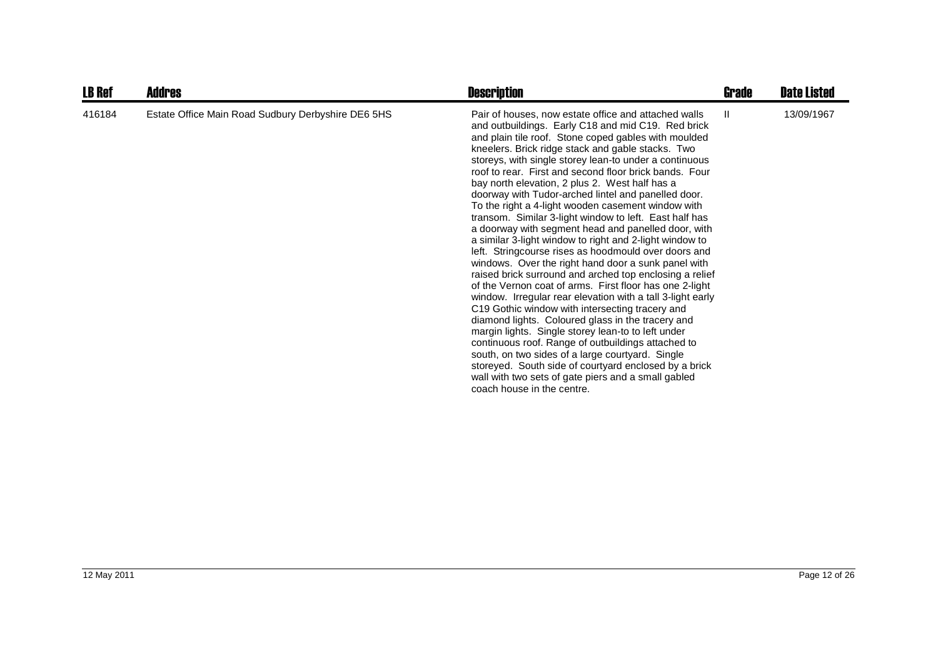| <b>LB Ref</b> | <b>Addres</b>                                      | <b>Description</b>                                                                                                                                                                                                                                                                                                                                                                                                                                                                                                                                                                                                                                                                                                                                                                                                                                                                                                                                                                                                                                                                                                                                                                                                                                                                                                                                                                                              | <b>Grade</b> | <b>Date Listed</b> |
|---------------|----------------------------------------------------|-----------------------------------------------------------------------------------------------------------------------------------------------------------------------------------------------------------------------------------------------------------------------------------------------------------------------------------------------------------------------------------------------------------------------------------------------------------------------------------------------------------------------------------------------------------------------------------------------------------------------------------------------------------------------------------------------------------------------------------------------------------------------------------------------------------------------------------------------------------------------------------------------------------------------------------------------------------------------------------------------------------------------------------------------------------------------------------------------------------------------------------------------------------------------------------------------------------------------------------------------------------------------------------------------------------------------------------------------------------------------------------------------------------------|--------------|--------------------|
| 416184        | Estate Office Main Road Sudbury Derbyshire DE6 5HS | Pair of houses, now estate office and attached walls<br>and outbuildings. Early C18 and mid C19. Red brick<br>and plain tile roof. Stone coped gables with moulded<br>kneelers. Brick ridge stack and gable stacks. Two<br>storeys, with single storey lean-to under a continuous<br>roof to rear. First and second floor brick bands. Four<br>bay north elevation, 2 plus 2. West half has a<br>doorway with Tudor-arched lintel and panelled door.<br>To the right a 4-light wooden casement window with<br>transom. Similar 3-light window to left. East half has<br>a doorway with segment head and panelled door, with<br>a similar 3-light window to right and 2-light window to<br>left. Stringcourse rises as hoodmould over doors and<br>windows. Over the right hand door a sunk panel with<br>raised brick surround and arched top enclosing a relief<br>of the Vernon coat of arms. First floor has one 2-light<br>window. Irregular rear elevation with a tall 3-light early<br>C19 Gothic window with intersecting tracery and<br>diamond lights. Coloured glass in the tracery and<br>margin lights. Single storey lean-to to left under<br>continuous roof. Range of outbuildings attached to<br>south, on two sides of a large courtyard. Single<br>storeyed. South side of courtyard enclosed by a brick<br>wall with two sets of gate piers and a small gabled<br>coach house in the centre. | H.           | 13/09/1967         |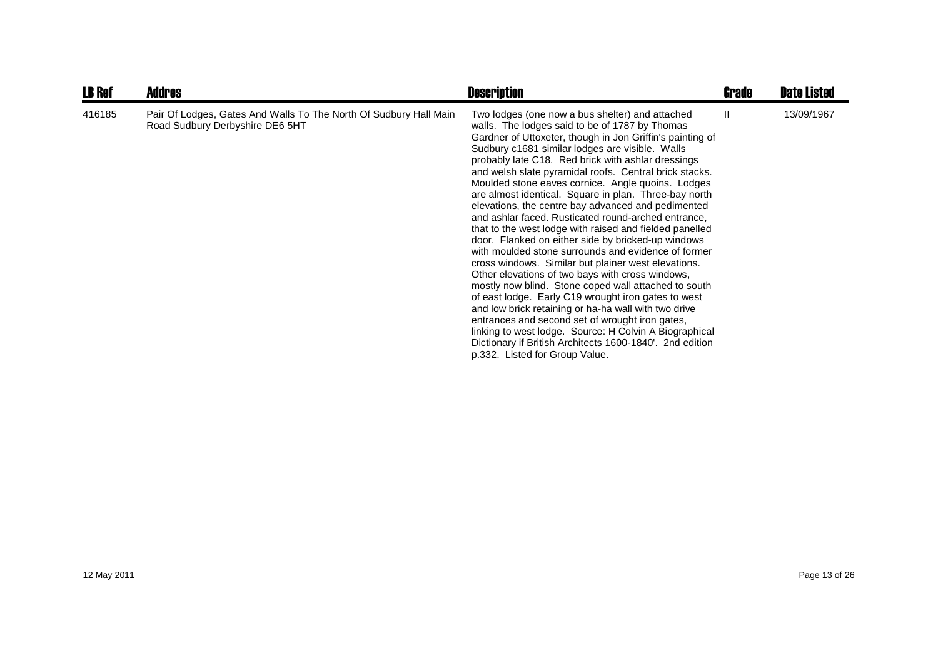| <b>LB Ref</b> | <b>Addres</b>                                                                                        | <b>Description</b>                                                                                                                                                                                                                                                                                                                                                                                                                                                                                                                                                                                                                                                                                                                                                                                                                                                                                                                                                                                                                                                                                                                                                                                                                | Grade | <b>Date Listed</b> |
|---------------|------------------------------------------------------------------------------------------------------|-----------------------------------------------------------------------------------------------------------------------------------------------------------------------------------------------------------------------------------------------------------------------------------------------------------------------------------------------------------------------------------------------------------------------------------------------------------------------------------------------------------------------------------------------------------------------------------------------------------------------------------------------------------------------------------------------------------------------------------------------------------------------------------------------------------------------------------------------------------------------------------------------------------------------------------------------------------------------------------------------------------------------------------------------------------------------------------------------------------------------------------------------------------------------------------------------------------------------------------|-------|--------------------|
| 416185        | Pair Of Lodges, Gates And Walls To The North Of Sudbury Hall Main<br>Road Sudbury Derbyshire DE6 5HT | Two lodges (one now a bus shelter) and attached<br>walls. The lodges said to be of 1787 by Thomas<br>Gardner of Uttoxeter, though in Jon Griffin's painting of<br>Sudbury c1681 similar lodges are visible. Walls<br>probably late C18. Red brick with ashlar dressings<br>and welsh slate pyramidal roofs. Central brick stacks.<br>Moulded stone eaves cornice. Angle quoins. Lodges<br>are almost identical. Square in plan. Three-bay north<br>elevations, the centre bay advanced and pedimented<br>and ashlar faced. Rusticated round-arched entrance,<br>that to the west lodge with raised and fielded panelled<br>door. Flanked on either side by bricked-up windows<br>with moulded stone surrounds and evidence of former<br>cross windows. Similar but plainer west elevations.<br>Other elevations of two bays with cross windows,<br>mostly now blind. Stone coped wall attached to south<br>of east lodge. Early C19 wrought iron gates to west<br>and low brick retaining or ha-ha wall with two drive<br>entrances and second set of wrought iron gates,<br>linking to west lodge. Source: H Colvin A Biographical<br>Dictionary if British Architects 1600-1840'. 2nd edition<br>p.332. Listed for Group Value. | Ш.    | 13/09/1967         |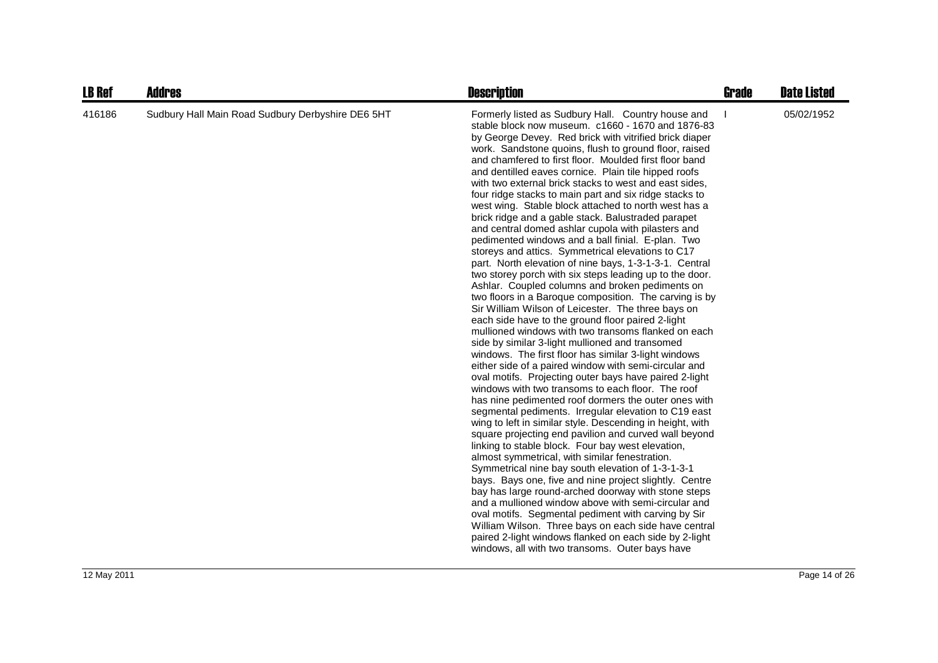| <b>LB Ref</b> | <b>Addres</b>                                     | <b>Description</b>                                                                                                                                                                                                                                                                                                                                                                                                                                                                                                                                                                                                                                                                                                                                                                                                                                                                                                                                                                                                                                                                                                                                                                                                                                                                                                                                                                                                                                                                                                                                                                                                                                                                                                                                                                                                                                                                                                                                                                                                                                                                                                                                                                                                                          | <b>Grade</b> | <b>Date Listed</b> |
|---------------|---------------------------------------------------|---------------------------------------------------------------------------------------------------------------------------------------------------------------------------------------------------------------------------------------------------------------------------------------------------------------------------------------------------------------------------------------------------------------------------------------------------------------------------------------------------------------------------------------------------------------------------------------------------------------------------------------------------------------------------------------------------------------------------------------------------------------------------------------------------------------------------------------------------------------------------------------------------------------------------------------------------------------------------------------------------------------------------------------------------------------------------------------------------------------------------------------------------------------------------------------------------------------------------------------------------------------------------------------------------------------------------------------------------------------------------------------------------------------------------------------------------------------------------------------------------------------------------------------------------------------------------------------------------------------------------------------------------------------------------------------------------------------------------------------------------------------------------------------------------------------------------------------------------------------------------------------------------------------------------------------------------------------------------------------------------------------------------------------------------------------------------------------------------------------------------------------------------------------------------------------------------------------------------------------------|--------------|--------------------|
| 416186        | Sudbury Hall Main Road Sudbury Derbyshire DE6 5HT | Formerly listed as Sudbury Hall. Country house and<br>stable block now museum. c1660 - 1670 and 1876-83<br>by George Devey. Red brick with vitrified brick diaper<br>work. Sandstone quoins, flush to ground floor, raised<br>and chamfered to first floor. Moulded first floor band<br>and dentilled eaves cornice. Plain tile hipped roofs<br>with two external brick stacks to west and east sides.<br>four ridge stacks to main part and six ridge stacks to<br>west wing. Stable block attached to north west has a<br>brick ridge and a gable stack. Balustraded parapet<br>and central domed ashlar cupola with pilasters and<br>pedimented windows and a ball finial. E-plan. Two<br>storeys and attics. Symmetrical elevations to C17<br>part. North elevation of nine bays, 1-3-1-3-1. Central<br>two storey porch with six steps leading up to the door.<br>Ashlar. Coupled columns and broken pediments on<br>two floors in a Baroque composition. The carving is by<br>Sir William Wilson of Leicester. The three bays on<br>each side have to the ground floor paired 2-light<br>mullioned windows with two transoms flanked on each<br>side by similar 3-light mullioned and transomed<br>windows. The first floor has similar 3-light windows<br>either side of a paired window with semi-circular and<br>oval motifs. Projecting outer bays have paired 2-light<br>windows with two transoms to each floor. The roof<br>has nine pedimented roof dormers the outer ones with<br>segmental pediments. Irregular elevation to C19 east<br>wing to left in similar style. Descending in height, with<br>square projecting end pavilion and curved wall beyond<br>linking to stable block. Four bay west elevation,<br>almost symmetrical, with similar fenestration.<br>Symmetrical nine bay south elevation of 1-3-1-3-1<br>bays. Bays one, five and nine project slightly. Centre<br>bay has large round-arched doorway with stone steps<br>and a mullioned window above with semi-circular and<br>oval motifs. Segmental pediment with carving by Sir<br>William Wilson. Three bays on each side have central<br>paired 2-light windows flanked on each side by 2-light<br>windows, all with two transoms. Outer bays have |              | 05/02/1952         |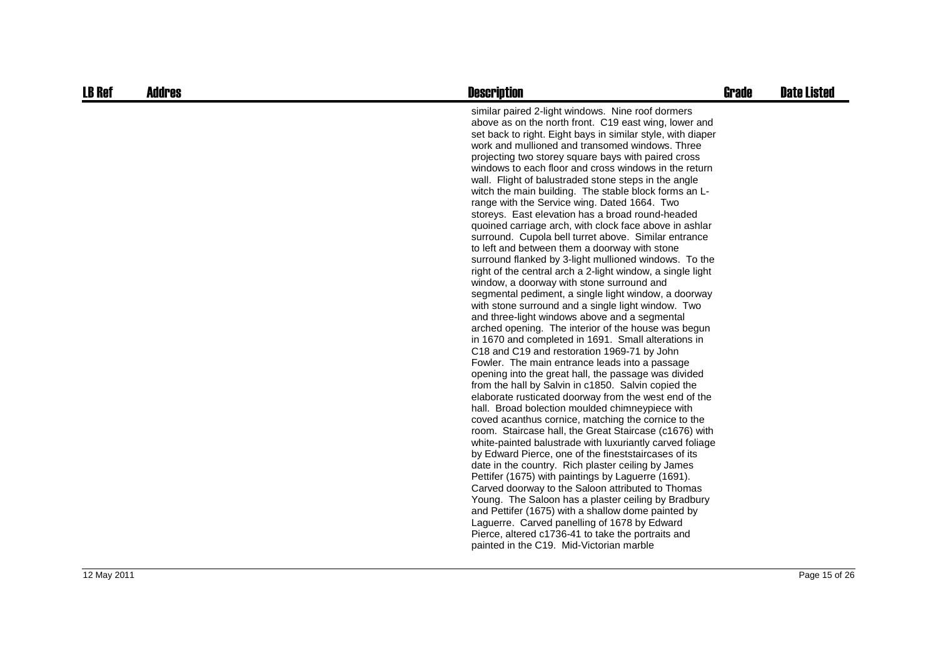| <b>LB Ref</b> | <b>Addres</b> | <b>Description</b>                                                                                                                                                                                                                                                                                                                                                                                                                                                                                                                                                                                                                                                                                                                                                                                                                                                                                                                                                                                                                                                                                                                                                                                                                                                                                                                                                                                                                                                                                                                                                                                                                                                                                                                                                                                                                                                                                                                                                                                                                                                                                                                                                                     | <b>Grade</b> | <b>Date Listed</b> |
|---------------|---------------|----------------------------------------------------------------------------------------------------------------------------------------------------------------------------------------------------------------------------------------------------------------------------------------------------------------------------------------------------------------------------------------------------------------------------------------------------------------------------------------------------------------------------------------------------------------------------------------------------------------------------------------------------------------------------------------------------------------------------------------------------------------------------------------------------------------------------------------------------------------------------------------------------------------------------------------------------------------------------------------------------------------------------------------------------------------------------------------------------------------------------------------------------------------------------------------------------------------------------------------------------------------------------------------------------------------------------------------------------------------------------------------------------------------------------------------------------------------------------------------------------------------------------------------------------------------------------------------------------------------------------------------------------------------------------------------------------------------------------------------------------------------------------------------------------------------------------------------------------------------------------------------------------------------------------------------------------------------------------------------------------------------------------------------------------------------------------------------------------------------------------------------------------------------------------------------|--------------|--------------------|
|               |               | similar paired 2-light windows. Nine roof dormers<br>above as on the north front. C19 east wing, lower and<br>set back to right. Eight bays in similar style, with diaper<br>work and mullioned and transomed windows. Three<br>projecting two storey square bays with paired cross<br>windows to each floor and cross windows in the return<br>wall. Flight of balustraded stone steps in the angle<br>witch the main building. The stable block forms an L-<br>range with the Service wing. Dated 1664. Two<br>storeys. East elevation has a broad round-headed<br>quoined carriage arch, with clock face above in ashlar<br>surround. Cupola bell turret above. Similar entrance<br>to left and between them a doorway with stone<br>surround flanked by 3-light mullioned windows. To the<br>right of the central arch a 2-light window, a single light<br>window, a doorway with stone surround and<br>segmental pediment, a single light window, a doorway<br>with stone surround and a single light window. Two<br>and three-light windows above and a segmental<br>arched opening. The interior of the house was begun<br>in 1670 and completed in 1691. Small alterations in<br>C18 and C19 and restoration 1969-71 by John<br>Fowler. The main entrance leads into a passage<br>opening into the great hall, the passage was divided<br>from the hall by Salvin in c1850. Salvin copied the<br>elaborate rusticated doorway from the west end of the<br>hall. Broad bolection moulded chimneypiece with<br>coved acanthus cornice, matching the cornice to the<br>room. Staircase hall, the Great Staircase (c1676) with<br>white-painted balustrade with luxuriantly carved foliage<br>by Edward Pierce, one of the fineststaircases of its<br>date in the country. Rich plaster ceiling by James<br>Pettifer (1675) with paintings by Laguerre (1691).<br>Carved doorway to the Saloon attributed to Thomas<br>Young. The Saloon has a plaster ceiling by Bradbury<br>and Pettifer (1675) with a shallow dome painted by<br>Laguerre. Carved panelling of 1678 by Edward<br>Pierce, altered c1736-41 to take the portraits and<br>painted in the C19. Mid-Victorian marble |              |                    |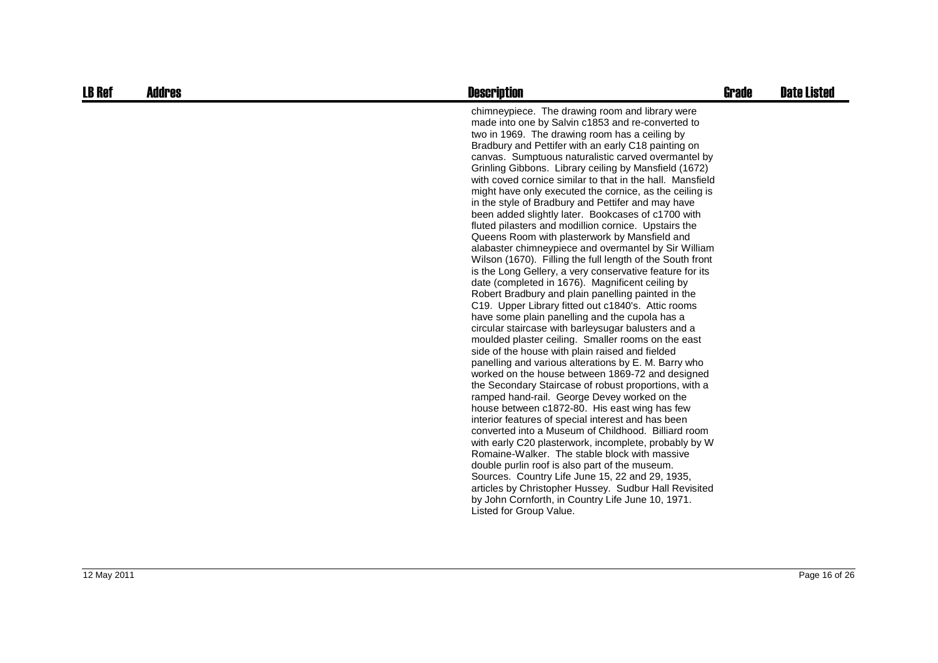| <b>LB Ref</b> | <b>Addres</b> | <b>Description</b>                                                                                                                                                                                                                                                                                                                                                                                                                                                                                                                                                                                                                                                                                                                                                                                                                                                                                                                                                                                                                                                                                                                                                                                                                                                                                                                                                                                                                                                                                                                                                                                                                                                                                                                                                                                                                                                                                                                                                                       | Grade | <b>Date Listed</b> |
|---------------|---------------|------------------------------------------------------------------------------------------------------------------------------------------------------------------------------------------------------------------------------------------------------------------------------------------------------------------------------------------------------------------------------------------------------------------------------------------------------------------------------------------------------------------------------------------------------------------------------------------------------------------------------------------------------------------------------------------------------------------------------------------------------------------------------------------------------------------------------------------------------------------------------------------------------------------------------------------------------------------------------------------------------------------------------------------------------------------------------------------------------------------------------------------------------------------------------------------------------------------------------------------------------------------------------------------------------------------------------------------------------------------------------------------------------------------------------------------------------------------------------------------------------------------------------------------------------------------------------------------------------------------------------------------------------------------------------------------------------------------------------------------------------------------------------------------------------------------------------------------------------------------------------------------------------------------------------------------------------------------------------------------|-------|--------------------|
|               |               | chimneypiece. The drawing room and library were<br>made into one by Salvin c1853 and re-converted to<br>two in 1969. The drawing room has a ceiling by<br>Bradbury and Pettifer with an early C18 painting on<br>canvas. Sumptuous naturalistic carved overmantel by<br>Grinling Gibbons. Library ceiling by Mansfield (1672)<br>with coved cornice similar to that in the hall. Mansfield<br>might have only executed the cornice, as the ceiling is<br>in the style of Bradbury and Pettifer and may have<br>been added slightly later. Bookcases of c1700 with<br>fluted pilasters and modillion cornice. Upstairs the<br>Queens Room with plasterwork by Mansfield and<br>alabaster chimneypiece and overmantel by Sir William<br>Wilson (1670). Filling the full length of the South front<br>is the Long Gellery, a very conservative feature for its<br>date (completed in 1676). Magnificent ceiling by<br>Robert Bradbury and plain panelling painted in the<br>C19. Upper Library fitted out c1840's. Attic rooms<br>have some plain panelling and the cupola has a<br>circular staircase with barleysugar balusters and a<br>moulded plaster ceiling. Smaller rooms on the east<br>side of the house with plain raised and fielded<br>panelling and various alterations by E. M. Barry who<br>worked on the house between 1869-72 and designed<br>the Secondary Staircase of robust proportions, with a<br>ramped hand-rail. George Devey worked on the<br>house between c1872-80. His east wing has few<br>interior features of special interest and has been<br>converted into a Museum of Childhood. Billiard room<br>with early C20 plasterwork, incomplete, probably by W<br>Romaine-Walker. The stable block with massive<br>double purlin roof is also part of the museum.<br>Sources. Country Life June 15, 22 and 29, 1935,<br>articles by Christopher Hussey. Sudbur Hall Revisited<br>by John Cornforth, in Country Life June 10, 1971.<br>Listed for Group Value. |       |                    |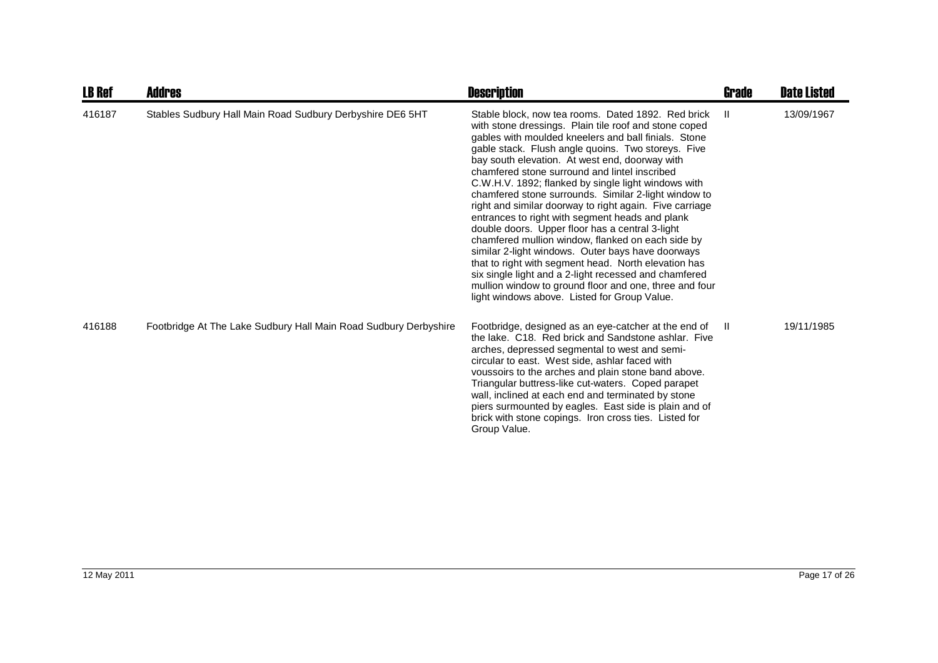| <b>LB Ref</b> | <b>Addres</b>                                                    | <b>Description</b>                                                                                                                                                                                                                                                                                                                                                                                                                                                                                                                                                                                                                                                                                                                                                                                                                                                                                                                                | Grade | <b>Date Listed</b> |
|---------------|------------------------------------------------------------------|---------------------------------------------------------------------------------------------------------------------------------------------------------------------------------------------------------------------------------------------------------------------------------------------------------------------------------------------------------------------------------------------------------------------------------------------------------------------------------------------------------------------------------------------------------------------------------------------------------------------------------------------------------------------------------------------------------------------------------------------------------------------------------------------------------------------------------------------------------------------------------------------------------------------------------------------------|-------|--------------------|
| 416187        | Stables Sudbury Hall Main Road Sudbury Derbyshire DE6 5HT        | Stable block, now tea rooms. Dated 1892. Red brick<br>with stone dressings. Plain tile roof and stone coped<br>gables with moulded kneelers and ball finials. Stone<br>gable stack. Flush angle quoins. Two storeys. Five<br>bay south elevation. At west end, doorway with<br>chamfered stone surround and lintel inscribed<br>C.W.H.V. 1892; flanked by single light windows with<br>chamfered stone surrounds. Similar 2-light window to<br>right and similar doorway to right again. Five carriage<br>entrances to right with segment heads and plank<br>double doors. Upper floor has a central 3-light<br>chamfered mullion window, flanked on each side by<br>similar 2-light windows. Outer bays have doorways<br>that to right with segment head. North elevation has<br>six single light and a 2-light recessed and chamfered<br>mullion window to ground floor and one, three and four<br>light windows above. Listed for Group Value. | H     | 13/09/1967         |
| 416188        | Footbridge At The Lake Sudbury Hall Main Road Sudbury Derbyshire | Footbridge, designed as an eye-catcher at the end of<br>the lake. C18. Red brick and Sandstone ashlar. Five<br>arches, depressed segmental to west and semi-<br>circular to east. West side, ashlar faced with<br>voussoirs to the arches and plain stone band above.<br>Triangular buttress-like cut-waters. Coped parapet<br>wall, inclined at each end and terminated by stone<br>piers surmounted by eagles. East side is plain and of<br>brick with stone copings. Iron cross ties. Listed for<br>Group Value.                                                                                                                                                                                                                                                                                                                                                                                                                               | -II.  | 19/11/1985         |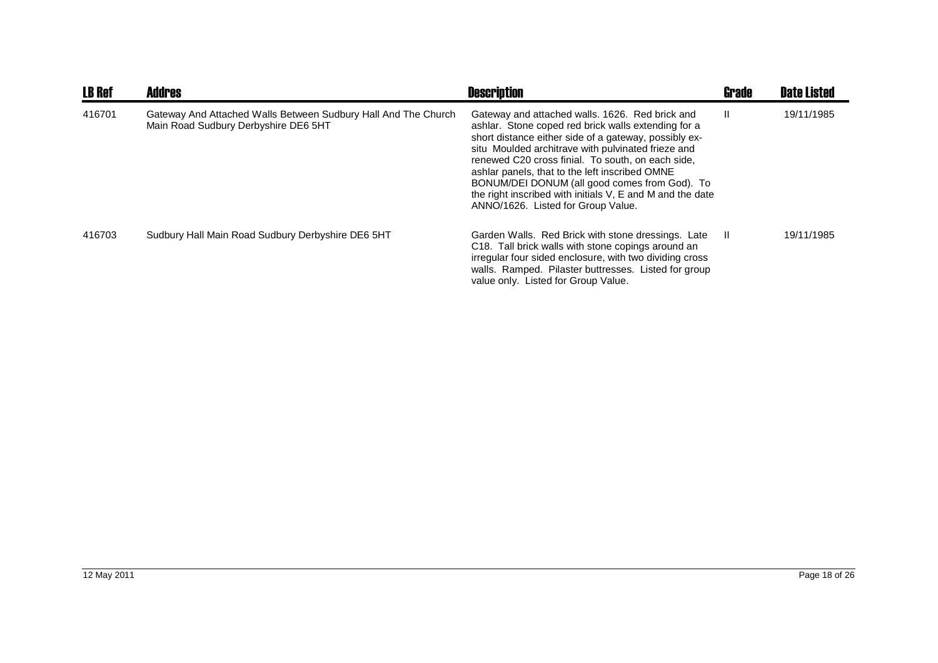| <b>LB Ref</b> | <b>Addres</b>                                                                                          | <b>Description</b>                                                                                                                                                                                                                                                                                                                                                                                                                                                               | Grade        | <b>Date Listed</b> |
|---------------|--------------------------------------------------------------------------------------------------------|----------------------------------------------------------------------------------------------------------------------------------------------------------------------------------------------------------------------------------------------------------------------------------------------------------------------------------------------------------------------------------------------------------------------------------------------------------------------------------|--------------|--------------------|
| 416701        | Gateway And Attached Walls Between Sudbury Hall And The Church<br>Main Road Sudbury Derbyshire DE6 5HT | Gateway and attached walls. 1626. Red brick and<br>ashlar. Stone coped red brick walls extending for a<br>short distance either side of a gateway, possibly ex-<br>situ Moulded architrave with pulvinated frieze and<br>renewed C20 cross finial. To south, on each side,<br>ashlar panels, that to the left inscribed OMNE<br>BONUM/DEI DONUM (all good comes from God). To<br>the right inscribed with initials V, E and M and the date<br>ANNO/1626. Listed for Group Value. | $\mathbf{I}$ | 19/11/1985         |
| 416703        | Sudbury Hall Main Road Sudbury Derbyshire DE6 5HT                                                      | Garden Walls. Red Brick with stone dressings. Late<br>C <sub>18</sub> . Tall brick walls with stone copings around an<br>irregular four sided enclosure, with two dividing cross<br>walls. Ramped. Pilaster buttresses. Listed for group<br>value only. Listed for Group Value.                                                                                                                                                                                                  | -H           | 19/11/1985         |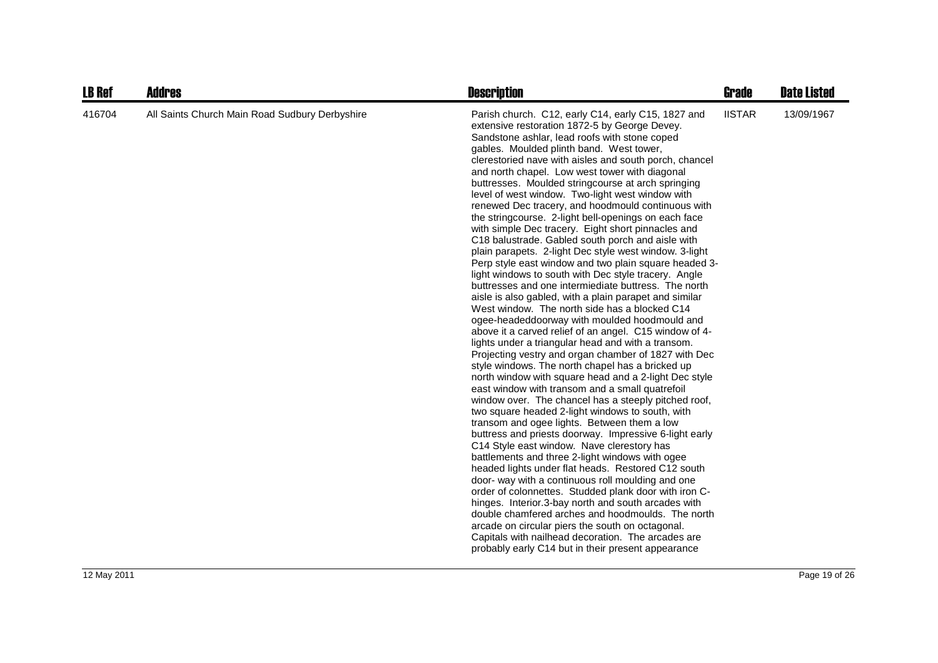| <b>LB Ref</b> | <b>Addres</b>                                  | <b>Description</b>                                                                                                                                                                                                                                                                                                                                                                                                                                                                                                                                                                                                                                                                                                                                                                                                                                                                                                                                                                                                                                                                                                                                                                                                                                                                                                                                                                                                                                                                                                                                                                                                                                                                                                                                                                                                                                                                                                                                                                                                                                                                                                                                           | Grade         | <b>Date Listed</b> |
|---------------|------------------------------------------------|--------------------------------------------------------------------------------------------------------------------------------------------------------------------------------------------------------------------------------------------------------------------------------------------------------------------------------------------------------------------------------------------------------------------------------------------------------------------------------------------------------------------------------------------------------------------------------------------------------------------------------------------------------------------------------------------------------------------------------------------------------------------------------------------------------------------------------------------------------------------------------------------------------------------------------------------------------------------------------------------------------------------------------------------------------------------------------------------------------------------------------------------------------------------------------------------------------------------------------------------------------------------------------------------------------------------------------------------------------------------------------------------------------------------------------------------------------------------------------------------------------------------------------------------------------------------------------------------------------------------------------------------------------------------------------------------------------------------------------------------------------------------------------------------------------------------------------------------------------------------------------------------------------------------------------------------------------------------------------------------------------------------------------------------------------------------------------------------------------------------------------------------------------------|---------------|--------------------|
| 416704        | All Saints Church Main Road Sudbury Derbyshire | Parish church. C12, early C14, early C15, 1827 and<br>extensive restoration 1872-5 by George Devey.<br>Sandstone ashlar, lead roofs with stone coped<br>gables. Moulded plinth band. West tower,<br>clerestoried nave with aisles and south porch, chancel<br>and north chapel. Low west tower with diagonal<br>buttresses. Moulded stringcourse at arch springing<br>level of west window. Two-light west window with<br>renewed Dec tracery, and hoodmould continuous with<br>the stringcourse. 2-light bell-openings on each face<br>with simple Dec tracery. Eight short pinnacles and<br>C18 balustrade. Gabled south porch and aisle with<br>plain parapets. 2-light Dec style west window. 3-light<br>Perp style east window and two plain square headed 3-<br>light windows to south with Dec style tracery. Angle<br>buttresses and one intermiediate buttress. The north<br>aisle is also gabled, with a plain parapet and similar<br>West window. The north side has a blocked C14<br>ogee-headeddoorway with moulded hoodmould and<br>above it a carved relief of an angel. C15 window of 4-<br>lights under a triangular head and with a transom.<br>Projecting vestry and organ chamber of 1827 with Dec<br>style windows. The north chapel has a bricked up<br>north window with square head and a 2-light Dec style<br>east window with transom and a small quatrefoil<br>window over. The chancel has a steeply pitched roof,<br>two square headed 2-light windows to south, with<br>transom and ogee lights. Between them a low<br>buttress and priests doorway. Impressive 6-light early<br>C14 Style east window. Nave clerestory has<br>battlements and three 2-light windows with ogee<br>headed lights under flat heads. Restored C12 south<br>door- way with a continuous roll moulding and one<br>order of colonnettes. Studded plank door with iron C-<br>hinges. Interior.3-bay north and south arcades with<br>double chamfered arches and hoodmoulds. The north<br>arcade on circular piers the south on octagonal.<br>Capitals with nailhead decoration. The arcades are<br>probably early C14 but in their present appearance | <b>IISTAR</b> | 13/09/1967         |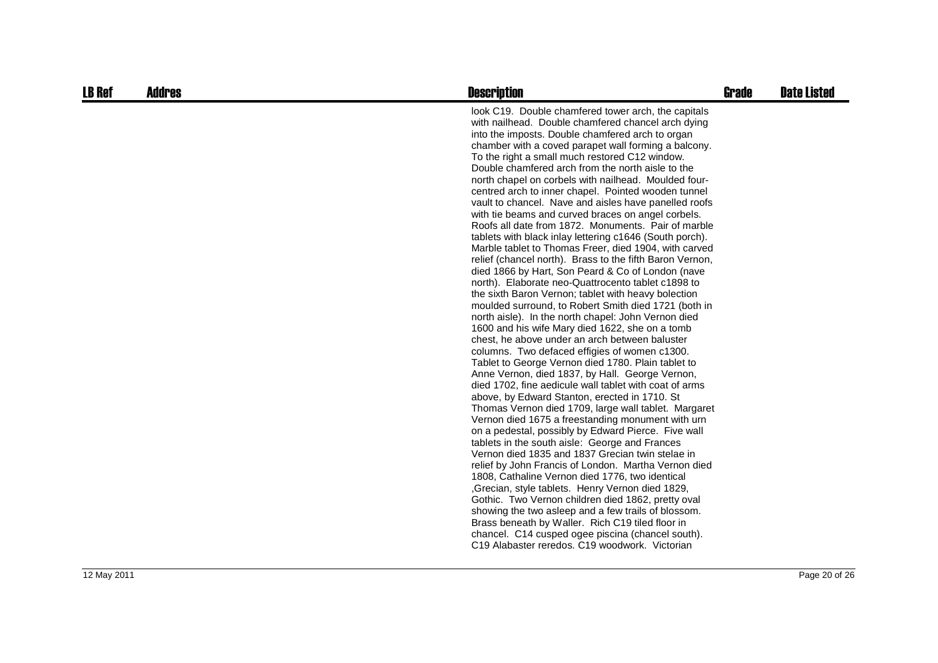| <b>LB Ref</b> | <b>Addres</b> | <b>Description</b>                                                                                                                                                                                                                                                                                                                                                                                                                                                                                                                                                                                                                                                                                                                                                                                                                                                                                                                                                                                                                                                                                                                                                                                                                                                                                                                                                                                                                                                                                                                                                                                                                                                                                                                                                                                                                                                                                                                                          | <b>Grade</b> | <b>Date Listed</b> |
|---------------|---------------|-------------------------------------------------------------------------------------------------------------------------------------------------------------------------------------------------------------------------------------------------------------------------------------------------------------------------------------------------------------------------------------------------------------------------------------------------------------------------------------------------------------------------------------------------------------------------------------------------------------------------------------------------------------------------------------------------------------------------------------------------------------------------------------------------------------------------------------------------------------------------------------------------------------------------------------------------------------------------------------------------------------------------------------------------------------------------------------------------------------------------------------------------------------------------------------------------------------------------------------------------------------------------------------------------------------------------------------------------------------------------------------------------------------------------------------------------------------------------------------------------------------------------------------------------------------------------------------------------------------------------------------------------------------------------------------------------------------------------------------------------------------------------------------------------------------------------------------------------------------------------------------------------------------------------------------------------------------|--------------|--------------------|
|               |               | look C19. Double chamfered tower arch, the capitals<br>with nailhead. Double chamfered chancel arch dying<br>into the imposts. Double chamfered arch to organ<br>chamber with a coved parapet wall forming a balcony.<br>To the right a small much restored C12 window.<br>Double chamfered arch from the north aisle to the<br>north chapel on corbels with nailhead. Moulded four-<br>centred arch to inner chapel. Pointed wooden tunnel<br>vault to chancel. Nave and aisles have panelled roofs<br>with tie beams and curved braces on angel corbels.<br>Roofs all date from 1872. Monuments. Pair of marble<br>tablets with black inlay lettering c1646 (South porch).<br>Marble tablet to Thomas Freer, died 1904, with carved<br>relief (chancel north). Brass to the fifth Baron Vernon,<br>died 1866 by Hart, Son Peard & Co of London (nave<br>north). Elaborate neo-Quattrocento tablet c1898 to<br>the sixth Baron Vernon; tablet with heavy bolection<br>moulded surround, to Robert Smith died 1721 (both in<br>north aisle). In the north chapel: John Vernon died<br>1600 and his wife Mary died 1622, she on a tomb<br>chest, he above under an arch between baluster<br>columns. Two defaced effigies of women c1300.<br>Tablet to George Vernon died 1780. Plain tablet to<br>Anne Vernon, died 1837, by Hall. George Vernon,<br>died 1702, fine aedicule wall tablet with coat of arms<br>above, by Edward Stanton, erected in 1710. St<br>Thomas Vernon died 1709, large wall tablet. Margaret<br>Vernon died 1675 a freestanding monument with urn<br>on a pedestal, possibly by Edward Pierce. Five wall<br>tablets in the south aisle: George and Frances<br>Vernon died 1835 and 1837 Grecian twin stelae in<br>relief by John Francis of London. Martha Vernon died<br>1808, Cathaline Vernon died 1776, two identical<br>,Grecian, style tablets. Henry Vernon died 1829,<br>Gothic. Two Vernon children died 1862, pretty oval |              |                    |
|               |               | showing the two asleep and a few trails of blossom.<br>Brass beneath by Waller. Rich C19 tiled floor in<br>chancel. C14 cusped ogee piscina (chancel south).<br>C19 Alabaster reredos. C19 woodwork. Victorian                                                                                                                                                                                                                                                                                                                                                                                                                                                                                                                                                                                                                                                                                                                                                                                                                                                                                                                                                                                                                                                                                                                                                                                                                                                                                                                                                                                                                                                                                                                                                                                                                                                                                                                                              |              |                    |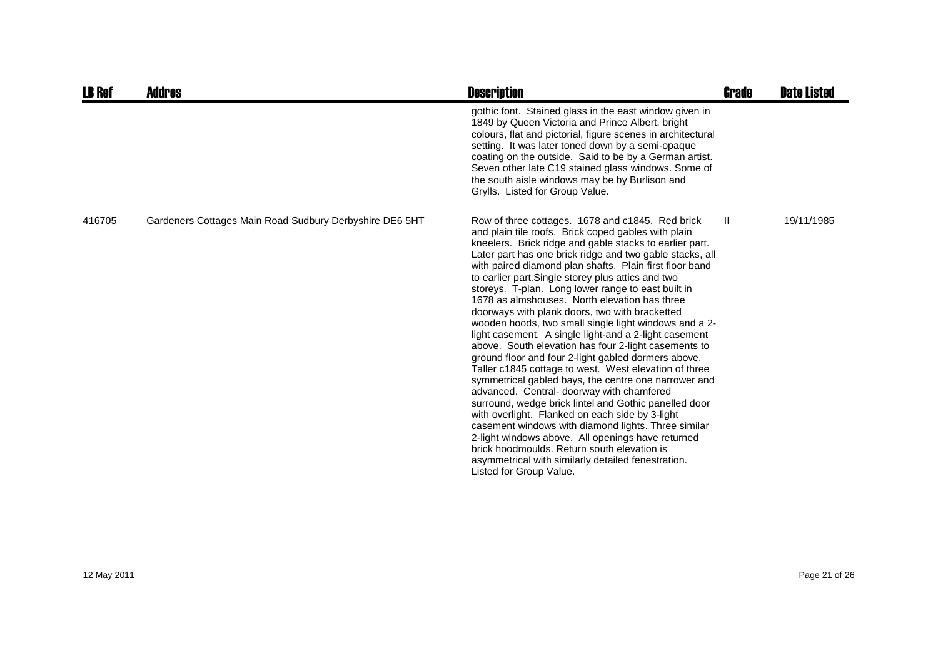| <b>LB Ref</b> | <b>Addres</b>                                           | <b>Description</b>                                                                                                                                                                                                                                                                                                                                                                                                                                                                                                                                                                                                                                                                                                                                                                                                                                                                                                                                                                                                                                                                                                                                                                                                                                             | Grade        | <b>Date Listed</b> |
|---------------|---------------------------------------------------------|----------------------------------------------------------------------------------------------------------------------------------------------------------------------------------------------------------------------------------------------------------------------------------------------------------------------------------------------------------------------------------------------------------------------------------------------------------------------------------------------------------------------------------------------------------------------------------------------------------------------------------------------------------------------------------------------------------------------------------------------------------------------------------------------------------------------------------------------------------------------------------------------------------------------------------------------------------------------------------------------------------------------------------------------------------------------------------------------------------------------------------------------------------------------------------------------------------------------------------------------------------------|--------------|--------------------|
|               |                                                         | gothic font. Stained glass in the east window given in<br>1849 by Queen Victoria and Prince Albert, bright<br>colours, flat and pictorial, figure scenes in architectural<br>setting. It was later toned down by a semi-opaque<br>coating on the outside. Said to be by a German artist.<br>Seven other late C19 stained glass windows. Some of<br>the south aisle windows may be by Burlison and<br>Grylls. Listed for Group Value.                                                                                                                                                                                                                                                                                                                                                                                                                                                                                                                                                                                                                                                                                                                                                                                                                           |              |                    |
| 416705        | Gardeners Cottages Main Road Sudbury Derbyshire DE6 5HT | Row of three cottages. 1678 and c1845. Red brick<br>and plain tile roofs. Brick coped gables with plain<br>kneelers. Brick ridge and gable stacks to earlier part.<br>Later part has one brick ridge and two gable stacks, all<br>with paired diamond plan shafts. Plain first floor band<br>to earlier part. Single storey plus attics and two<br>storeys. T-plan. Long lower range to east built in<br>1678 as almshouses. North elevation has three<br>doorways with plank doors, two with bracketted<br>wooden hoods, two small single light windows and a 2-<br>light casement. A single light-and a 2-light casement<br>above. South elevation has four 2-light casements to<br>ground floor and four 2-light gabled dormers above.<br>Taller c1845 cottage to west. West elevation of three<br>symmetrical gabled bays, the centre one narrower and<br>advanced. Central-doorway with chamfered<br>surround, wedge brick lintel and Gothic panelled door<br>with overlight. Flanked on each side by 3-light<br>casement windows with diamond lights. Three similar<br>2-light windows above. All openings have returned<br>brick hoodmoulds. Return south elevation is<br>asymmetrical with similarly detailed fenestration.<br>Listed for Group Value. | $\mathbf{H}$ | 19/11/1985         |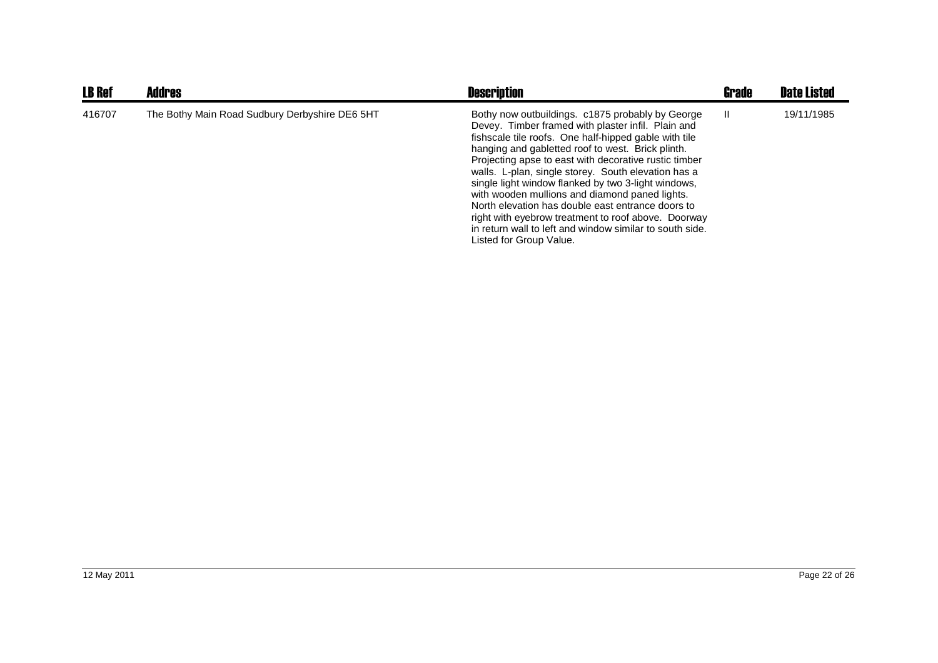| <b>LB Ref</b> | <b>Addres</b>                                  | <b>Description</b>                                                                                                                                                                                                                                                                                                                                                                                                                                                                                                                                                                                                                               | <b>Grade</b> | <b>Date Listed</b> |
|---------------|------------------------------------------------|--------------------------------------------------------------------------------------------------------------------------------------------------------------------------------------------------------------------------------------------------------------------------------------------------------------------------------------------------------------------------------------------------------------------------------------------------------------------------------------------------------------------------------------------------------------------------------------------------------------------------------------------------|--------------|--------------------|
| 416707        | The Bothy Main Road Sudbury Derbyshire DE6 5HT | Bothy now outbuildings. c1875 probably by George<br>Devey. Timber framed with plaster infil. Plain and<br>fishscale tile roofs. One half-hipped gable with tile<br>hanging and gabletted roof to west. Brick plinth.<br>Projecting apse to east with decorative rustic timber<br>walls. L-plan, single storey. South elevation has a<br>single light window flanked by two 3-light windows,<br>with wooden mullions and diamond paned lights.<br>North elevation has double east entrance doors to<br>right with eyebrow treatment to roof above. Doorway<br>in return wall to left and window similar to south side.<br>Listed for Group Value. | H            | 19/11/1985         |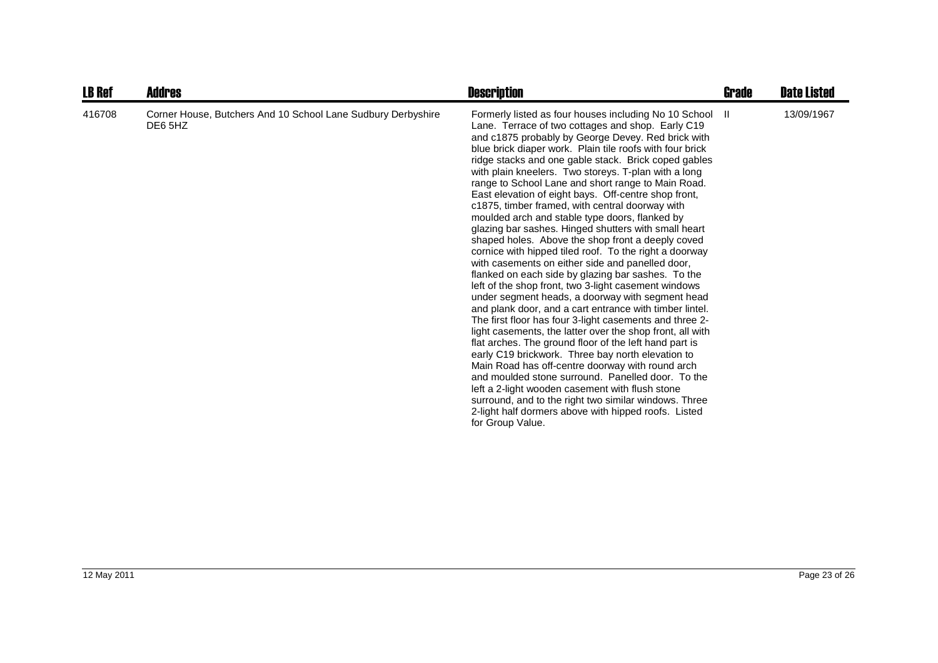| <b>LB Ref</b> | <b>Addres</b>                                                           | <b>Description</b>                                                                                                                                                                                                                                                                                                                                                                                                                                                                                                                                                                                                                                                                                                                                                                                                                                                                                                                                                                                                                                                                                                                                                                                                                                                                                                                                                                                                                                                                                                                                                 | Grade | <b>Date Listed</b> |
|---------------|-------------------------------------------------------------------------|--------------------------------------------------------------------------------------------------------------------------------------------------------------------------------------------------------------------------------------------------------------------------------------------------------------------------------------------------------------------------------------------------------------------------------------------------------------------------------------------------------------------------------------------------------------------------------------------------------------------------------------------------------------------------------------------------------------------------------------------------------------------------------------------------------------------------------------------------------------------------------------------------------------------------------------------------------------------------------------------------------------------------------------------------------------------------------------------------------------------------------------------------------------------------------------------------------------------------------------------------------------------------------------------------------------------------------------------------------------------------------------------------------------------------------------------------------------------------------------------------------------------------------------------------------------------|-------|--------------------|
| 416708        | Corner House, Butchers And 10 School Lane Sudbury Derbyshire<br>DE6 5HZ | Formerly listed as four houses including No 10 School II<br>Lane. Terrace of two cottages and shop. Early C19<br>and c1875 probably by George Devey. Red brick with<br>blue brick diaper work. Plain tile roofs with four brick<br>ridge stacks and one gable stack. Brick coped gables<br>with plain kneelers. Two storeys. T-plan with a long<br>range to School Lane and short range to Main Road.<br>East elevation of eight bays. Off-centre shop front,<br>c1875, timber framed, with central doorway with<br>moulded arch and stable type doors, flanked by<br>glazing bar sashes. Hinged shutters with small heart<br>shaped holes. Above the shop front a deeply coved<br>cornice with hipped tiled roof. To the right a doorway<br>with casements on either side and panelled door,<br>flanked on each side by glazing bar sashes. To the<br>left of the shop front, two 3-light casement windows<br>under segment heads, a doorway with segment head<br>and plank door, and a cart entrance with timber lintel.<br>The first floor has four 3-light casements and three 2-<br>light casements, the latter over the shop front, all with<br>flat arches. The ground floor of the left hand part is<br>early C19 brickwork. Three bay north elevation to<br>Main Road has off-centre doorway with round arch<br>and moulded stone surround. Panelled door. To the<br>left a 2-light wooden casement with flush stone<br>surround, and to the right two similar windows. Three<br>2-light half dormers above with hipped roofs. Listed<br>for Group Value. |       | 13/09/1967         |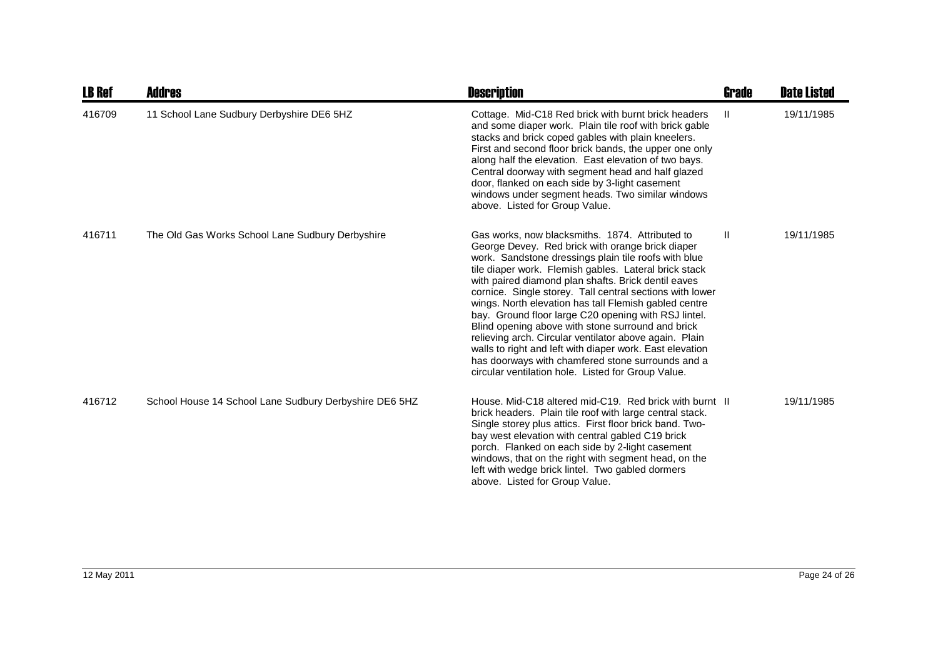| <b>LB Ref</b> | <b>Addres</b>                                          | <b>Description</b>                                                                                                                                                                                                                                                                                                                                                                                                                                                                                                                                                                                                                                                                                                                             | <b>Grade</b> | <b>Date Listed</b> |
|---------------|--------------------------------------------------------|------------------------------------------------------------------------------------------------------------------------------------------------------------------------------------------------------------------------------------------------------------------------------------------------------------------------------------------------------------------------------------------------------------------------------------------------------------------------------------------------------------------------------------------------------------------------------------------------------------------------------------------------------------------------------------------------------------------------------------------------|--------------|--------------------|
| 416709        | 11 School Lane Sudbury Derbyshire DE6 5HZ              | Cottage. Mid-C18 Red brick with burnt brick headers<br>and some diaper work. Plain tile roof with brick gable<br>stacks and brick coped gables with plain kneelers.<br>First and second floor brick bands, the upper one only<br>along half the elevation. East elevation of two bays.<br>Central doorway with segment head and half glazed<br>door, flanked on each side by 3-light casement<br>windows under segment heads. Two similar windows<br>above. Listed for Group Value.                                                                                                                                                                                                                                                            | Ш            | 19/11/1985         |
| 416711        | The Old Gas Works School Lane Sudbury Derbyshire       | Gas works, now blacksmiths. 1874. Attributed to<br>George Devey. Red brick with orange brick diaper<br>work. Sandstone dressings plain tile roofs with blue<br>tile diaper work. Flemish gables. Lateral brick stack<br>with paired diamond plan shafts. Brick dentil eaves<br>cornice. Single storey. Tall central sections with lower<br>wings. North elevation has tall Flemish gabled centre<br>bay. Ground floor large C20 opening with RSJ lintel.<br>Blind opening above with stone surround and brick<br>relieving arch. Circular ventilator above again. Plain<br>walls to right and left with diaper work. East elevation<br>has doorways with chamfered stone surrounds and a<br>circular ventilation hole. Listed for Group Value. | $\mathbf{H}$ | 19/11/1985         |
| 416712        | School House 14 School Lane Sudbury Derbyshire DE6 5HZ | House, Mid-C18 altered mid-C19. Red brick with burnt II<br>brick headers. Plain tile roof with large central stack.<br>Single storey plus attics. First floor brick band. Two-<br>bay west elevation with central gabled C19 brick<br>porch. Flanked on each side by 2-light casement<br>windows, that on the right with segment head, on the<br>left with wedge brick lintel. Two gabled dormers<br>above. Listed for Group Value.                                                                                                                                                                                                                                                                                                            |              | 19/11/1985         |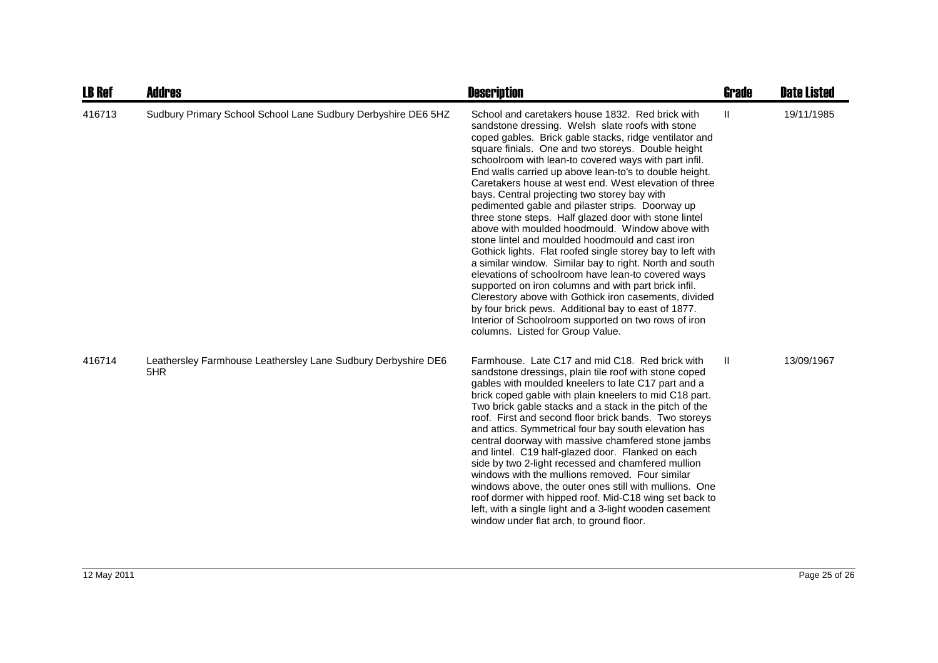| <b>LB Ref</b> | <b>Addres</b>                                                        | <b>Description</b>                                                                                                                                                                                                                                                                                                                                                                                                                                                                                                                                                                                                                                                                                                                                                                                                                                                                                                                                                                                                                                                                                                      | <b>Grade</b>  | <b>Date Listed</b> |
|---------------|----------------------------------------------------------------------|-------------------------------------------------------------------------------------------------------------------------------------------------------------------------------------------------------------------------------------------------------------------------------------------------------------------------------------------------------------------------------------------------------------------------------------------------------------------------------------------------------------------------------------------------------------------------------------------------------------------------------------------------------------------------------------------------------------------------------------------------------------------------------------------------------------------------------------------------------------------------------------------------------------------------------------------------------------------------------------------------------------------------------------------------------------------------------------------------------------------------|---------------|--------------------|
| 416713        | Sudbury Primary School School Lane Sudbury Derbyshire DE6 5HZ        | School and caretakers house 1832. Red brick with<br>sandstone dressing. Welsh slate roofs with stone<br>coped gables. Brick gable stacks, ridge ventilator and<br>square finials. One and two storeys. Double height<br>schoolroom with lean-to covered ways with part infil.<br>End walls carried up above lean-to's to double height.<br>Caretakers house at west end. West elevation of three<br>bays. Central projecting two storey bay with<br>pedimented gable and pilaster strips. Doorway up<br>three stone steps. Half glazed door with stone lintel<br>above with moulded hoodmould. Window above with<br>stone lintel and moulded hoodmould and cast iron<br>Gothick lights. Flat roofed single storey bay to left with<br>a similar window. Similar bay to right. North and south<br>elevations of schoolroom have lean-to covered ways<br>supported on iron columns and with part brick infil.<br>Clerestory above with Gothick iron casements, divided<br>by four brick pews. Additional bay to east of 1877.<br>Interior of Schoolroom supported on two rows of iron<br>columns. Listed for Group Value. | $\mathbf{II}$ | 19/11/1985         |
| 416714        | Leathersley Farmhouse Leathersley Lane Sudbury Derbyshire DE6<br>5HR | Farmhouse. Late C17 and mid C18. Red brick with<br>sandstone dressings, plain tile roof with stone coped<br>gables with moulded kneelers to late C17 part and a<br>brick coped gable with plain kneelers to mid C18 part.<br>Two brick gable stacks and a stack in the pitch of the<br>roof. First and second floor brick bands. Two storeys<br>and attics. Symmetrical four bay south elevation has<br>central doorway with massive chamfered stone jambs<br>and lintel. C19 half-glazed door. Flanked on each<br>side by two 2-light recessed and chamfered mullion<br>windows with the mullions removed. Four similar<br>windows above, the outer ones still with mullions. One<br>roof dormer with hipped roof. Mid-C18 wing set back to<br>left, with a single light and a 3-light wooden casement<br>window under flat arch, to ground floor.                                                                                                                                                                                                                                                                     | Ш             | 13/09/1967         |